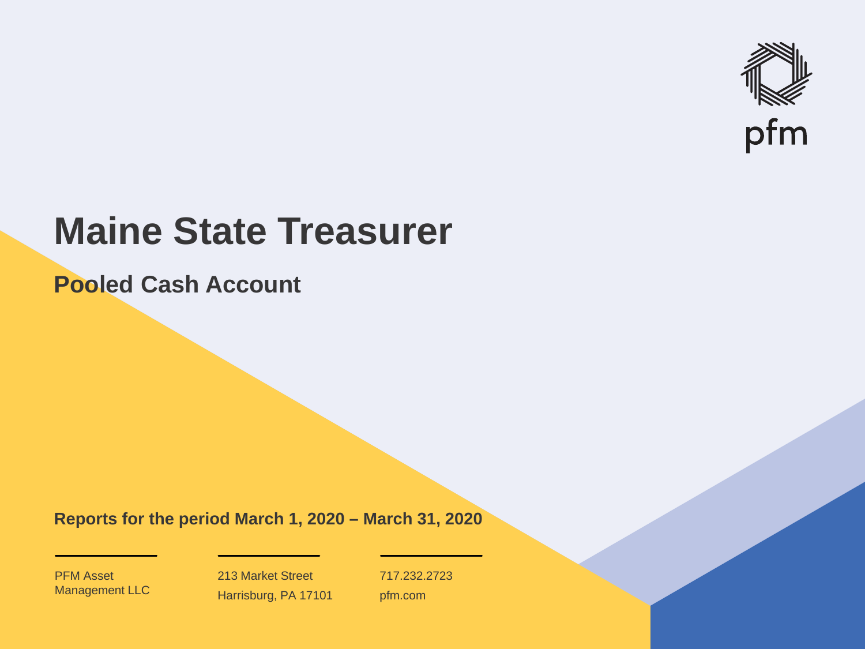

# **Maine State Treasurer**

**Pooled Cash Account**

**Reports for the period March 1, 2020 – March 31, 2020**

PFM Asset Management LLC

213 Market Street Harrisburg, PA 17101 717.232.2723 pfm.com

 $\mathcal{P}_\text{max}$  and  $\mathcal{P}_\text{max}$  is the probability of  $\mathcal{P}_\text{max}$  and  $\mathcal{P}_\text{max}$  and  $\mathcal{P}_\text{max}$  and  $\mathcal{P}_\text{max}$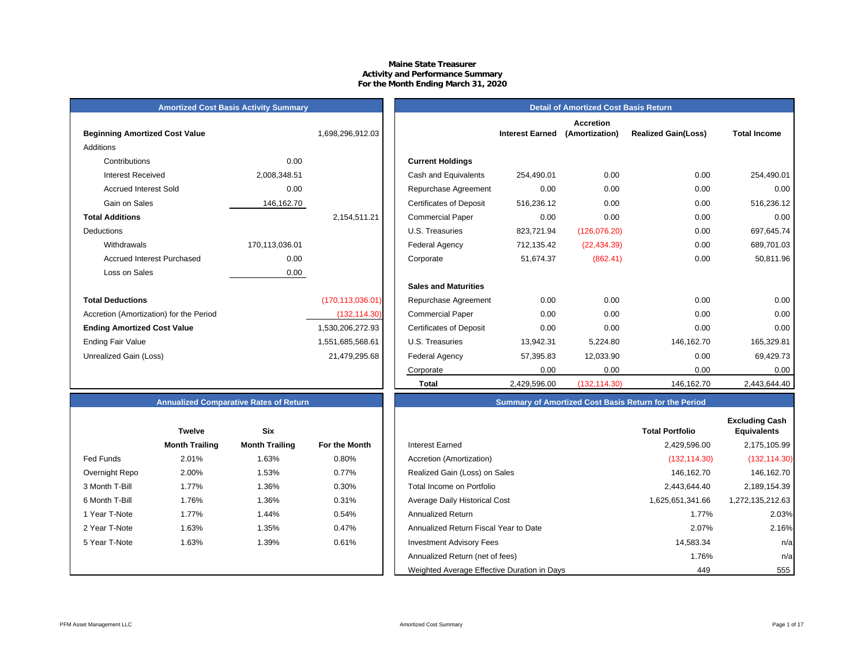## **Maine State Treasurer Activity and Performance Summary For the Month Ending March 31, 2020**

## **Amortized Cost Basis Activity Summary**<br> **Amortized Cost Basis Return**

| <b>Beginning Amortized Cost Value</b>   |                | 1,698,296,912.03   | <b>Interest Earned</b>                       |
|-----------------------------------------|----------------|--------------------|----------------------------------------------|
| Additions                               |                |                    |                                              |
| Contributions                           | 0.00           |                    | <b>Current Holdings</b>                      |
| <b>Interest Received</b>                | 2,008,348.51   |                    | Cash and Equivalents<br>254,490.01           |
| <b>Accrued Interest Sold</b>            | 0.00           |                    | 0.00<br>Repurchase Agreement                 |
| Gain on Sales                           | 146,162.70     |                    | 516,236.12<br><b>Certificates of Deposit</b> |
| <b>Total Additions</b>                  |                | 2,154,511.21       | 0.00<br><b>Commercial Paper</b>              |
| <b>Deductions</b>                       |                |                    | U.S. Treasuries<br>823,721.94                |
| Withdrawals                             | 170,113,036.01 |                    | Federal Agency<br>712,135.42                 |
| Accrued Interest Purchased              | 0.00           |                    | 51,674.37<br>Corporate                       |
| Loss on Sales                           | 0.00           |                    |                                              |
|                                         |                |                    | <b>Sales and Maturities</b>                  |
| <b>Total Deductions</b>                 |                | (170, 113, 036.01) | 0.00<br>Repurchase Agreement                 |
| Accretion (Amortization) for the Period |                | (132, 114.30)      | 0.00<br><b>Commercial Paper</b>              |
| <b>Ending Amortized Cost Value</b>      |                | 1,530,206,272.93   | <b>Certificates of Deposit</b><br>0.00       |
| <b>Ending Fair Value</b>                |                | 1,551,685,568.61   | U.S. Treasuries<br>13,942.31                 |
| Unrealized Gain (Loss)                  |                | 21,479,295.68      | Federal Agency<br>57,395.83                  |
|                                         |                |                    |                                              |

|                                         | $19.1$ and $9.9$ and $19.0$ and $19.0$ and $19.0$ and $19.0$ and $19.0$ |                    |                                |                        |                                    |                            |                     |  |  |  |
|-----------------------------------------|-------------------------------------------------------------------------|--------------------|--------------------------------|------------------------|------------------------------------|----------------------------|---------------------|--|--|--|
| <b>Beginning Amortized Cost Value</b>   |                                                                         | 1,698,296,912.03   |                                | <b>Interest Earned</b> | <b>Accretion</b><br>(Amortization) | <b>Realized Gain(Loss)</b> | <b>Total Income</b> |  |  |  |
| Additions                               |                                                                         |                    |                                |                        |                                    |                            |                     |  |  |  |
| Contributions                           | 0.00                                                                    |                    | <b>Current Holdings</b>        |                        |                                    |                            |                     |  |  |  |
| <b>Interest Received</b>                | 2,008,348.51                                                            |                    | Cash and Equivalents           | 254,490.01             | 0.00                               | 0.00                       | 254,490.01          |  |  |  |
| <b>Accrued Interest Sold</b>            | 0.00                                                                    |                    | Repurchase Agreement           | 0.00                   | 0.00                               | 0.00                       | 0.00                |  |  |  |
| Gain on Sales                           | 146,162.70                                                              |                    | <b>Certificates of Deposit</b> | 516,236.12             | 0.00                               | 0.00                       | 516,236.12          |  |  |  |
| <b>Total Additions</b>                  |                                                                         | 2,154,511.21       | <b>Commercial Paper</b>        | 0.00                   | 0.00                               | 0.00                       | 0.00                |  |  |  |
| Deductions                              |                                                                         |                    | U.S. Treasuries                | 823,721.94             | (126,076.20)                       | 0.00                       | 697,645.74          |  |  |  |
| Withdrawals                             | 170,113,036.01                                                          |                    | Federal Agency                 | 712,135.42             | (22, 434.39)                       | 0.00                       | 689,701.03          |  |  |  |
| <b>Accrued Interest Purchased</b>       | 0.00                                                                    |                    | Corporate                      | 51,674.37              | (862.41)                           | 0.00                       | 50,811.96           |  |  |  |
| Loss on Sales                           | 0.00                                                                    |                    |                                |                        |                                    |                            |                     |  |  |  |
|                                         |                                                                         |                    | <b>Sales and Maturities</b>    |                        |                                    |                            |                     |  |  |  |
| <b>Total Deductions</b>                 |                                                                         | (170, 113, 036.01) | Repurchase Agreement           | 0.00                   | 0.00                               | 0.00                       | 0.00                |  |  |  |
| Accretion (Amortization) for the Period |                                                                         | (132, 114.30)      | <b>Commercial Paper</b>        | 0.00                   | 0.00                               | 0.00                       | 0.00                |  |  |  |
| <b>Ending Amortized Cost Value</b>      |                                                                         | 1,530,206,272.93   | <b>Certificates of Deposit</b> | 0.00                   | 0.00                               | 0.00                       | 0.00                |  |  |  |
| Ending Fair Value                       |                                                                         | 1,551,685,568.61   | U.S. Treasuries                | 13,942.31              | 5,224.80                           | 146,162.70                 | 165,329.81          |  |  |  |
| Unrealized Gain (Loss)                  |                                                                         | 21,479,295.68      | Federal Agency                 | 57,395.83              | 12,033.90                          | 0.00                       | 69,429.73           |  |  |  |
|                                         |                                                                         |                    | Corporate                      | 0.00                   | 0.00                               | 0.00                       | 0.00                |  |  |  |
|                                         |                                                                         |                    | <b>Total</b>                   | 2,429,596.00           | (132, 114.30)                      | 146,162.70                 | 2,443,644.40        |  |  |  |

## **Annualized Comparative Rates of Return Summary of Amortized Cost Basis Return for the Period**

|                | <b>Twelve</b>         | <b>Six</b>            |               |                                             | <b>Total Portfolio</b> | <b>Excluding Cash</b><br><b>Equivalents</b> |
|----------------|-----------------------|-----------------------|---------------|---------------------------------------------|------------------------|---------------------------------------------|
|                | <b>Month Trailing</b> | <b>Month Trailing</b> | For the Month | Interest Earned                             | 2,429,596.00           | 2,175,105.99                                |
| Fed Funds      | 2.01%                 | 1.63%                 | 0.80%         | Accretion (Amortization)                    | (132, 114.30)          | (132, 114.30)                               |
| Overnight Repo | 2.00%                 | 1.53%                 | 0.77%         | Realized Gain (Loss) on Sales               | 146,162.70             | 146,162.70                                  |
| 3 Month T-Bill | 1.77%                 | 1.36%                 | 0.30%         | Total Income on Portfolio                   | 2,443,644.40           | 2,189,154.39                                |
| 6 Month T-Bill | 1.76%                 | 1.36%                 | 0.31%         | Average Daily Historical Cost               | 1,625,651,341.66       | 1,272,135,212.63                            |
| 1 Year T-Note  | 1.77%                 | 1.44%                 | 0.54%         | <b>Annualized Return</b>                    | 1.77%                  | 2.03%                                       |
| 2 Year T-Note  | 1.63%                 | 1.35%                 | 0.47%         | Annualized Return Fiscal Year to Date       | 2.07%                  | 2.16%                                       |
| 5 Year T-Note  | 1.63%                 | 1.39%                 | 0.61%         | <b>Investment Advisory Fees</b>             | 14,583.34              | n/a                                         |
|                |                       |                       |               | Annualized Return (net of fees)             | 1.76%                  | n/a                                         |
|                |                       |                       |               | Weighted Average Effective Duration in Days | 449                    | 555                                         |

|                | <b>Twelve</b>         | Six                   |                      |
|----------------|-----------------------|-----------------------|----------------------|
|                | <b>Month Trailing</b> | <b>Month Trailing</b> | <b>For the Month</b> |
| Fed Funds      | 2.01%                 | 1.63%                 | 0.80%                |
| Overnight Repo | 2.00%                 | 1.53%                 | 0.77%                |
| 3 Month T-Bill | 1.77%                 | 1.36%                 | 0.30%                |
| 6 Month T-Bill | 1.76%                 | 1.36%                 | 0.31%                |
| 1 Year T-Note  | 1.77%                 | 1.44%                 | 0.54%                |
| 2 Year T-Note  | 1.63%                 | 1.35%                 | 0.47%                |
| 5 Year T-Note  | 1.63%                 | 1.39%                 | 0.61%                |
|                |                       |                       |                      |
|                |                       |                       |                      |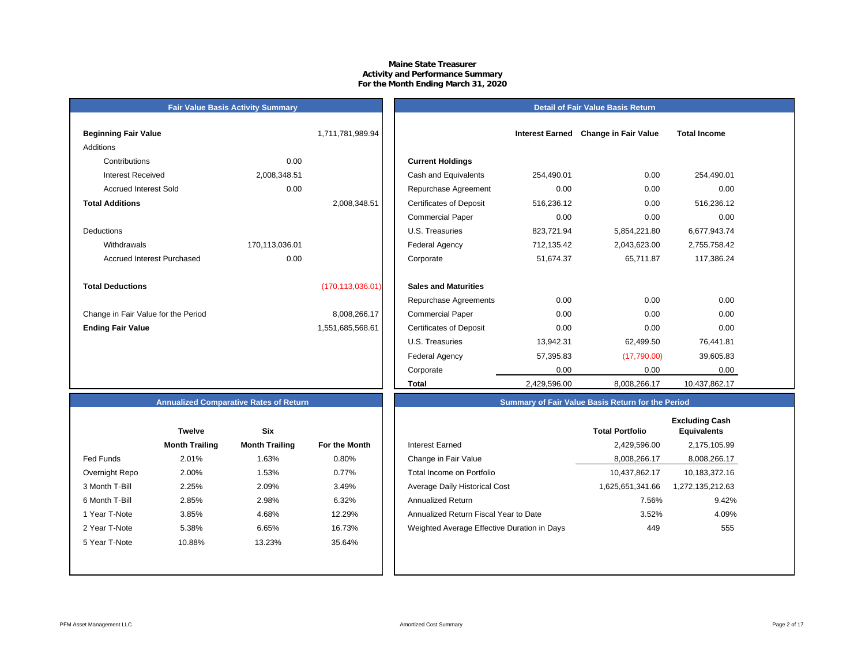## **Maine State Treasurer Activity and Performance Summary For the Month Ending March 31, 2020**

## **Detail of Fair Value Basis Return**

| <b>Beginning Fair Value</b>         |                | 1,711,781,989.94   |                                |
|-------------------------------------|----------------|--------------------|--------------------------------|
| Additions                           |                |                    |                                |
| Contributions                       | 0.00           |                    | <b>Current Holdings</b>        |
| Interest Received                   | 2,008,348.51   |                    | Cash and Equivalents           |
| <b>Accrued Interest Sold</b>        | 0.00           |                    | Repurchase Agreeme             |
| <b>Total Additions</b>              |                | 2,008,348.51       | <b>Certificates of Deposit</b> |
|                                     |                |                    | <b>Commercial Paper</b>        |
| <b>Deductions</b>                   |                |                    | U.S. Treasuries                |
| Withdrawals                         | 170,113,036.01 |                    | <b>Federal Agency</b>          |
| <b>Accrued Interest Purchased</b>   | 0.00           |                    | Corporate                      |
|                                     |                |                    |                                |
| <b>Total Deductions</b>             |                | (170, 113, 036.01) | <b>Sales and Maturities</b>    |
|                                     |                |                    | Repurchase Agreeme             |
| Change in Fair Value for the Period |                | 8,008,266.17       | <b>Commercial Paper</b>        |
| <b>Ending Fair Value</b>            |                | 1,551,685,568.61   | <b>Certificates of Deposit</b> |

**Fair Value Basis Activity Summary**

| Beginning Fair Value                |                | 1,711,781,989.94   |                                | <b>Interest Earned</b> | <b>Change in Fair Value</b> | <b>Total Income</b> |  |
|-------------------------------------|----------------|--------------------|--------------------------------|------------------------|-----------------------------|---------------------|--|
| Additions                           |                |                    |                                |                        |                             |                     |  |
| Contributions                       | 0.00           |                    | <b>Current Holdings</b>        |                        |                             |                     |  |
| <b>Interest Received</b>            | 2,008,348.51   |                    | Cash and Equivalents           | 254,490.01             | 0.00                        | 254,490.01          |  |
| <b>Accrued Interest Sold</b>        | 0.00           |                    | Repurchase Agreement           | 0.00                   | 0.00                        | 0.00                |  |
| <b>Total Additions</b>              |                | 2,008,348.51       | <b>Certificates of Deposit</b> | 516,236.12             | 0.00                        | 516,236.12          |  |
|                                     |                |                    | <b>Commercial Paper</b>        | 0.00                   | 0.00                        | 0.00                |  |
| Deductions                          |                |                    | U.S. Treasuries                | 823,721.94             | 5,854,221.80                | 6,677,943.74        |  |
| Withdrawals                         | 170,113,036.01 |                    | Federal Agency                 | 712,135.42             | 2,043,623.00                | 2,755,758.42        |  |
| <b>Accrued Interest Purchased</b>   | 0.00           |                    | Corporate                      | 51,674.37              | 65,711.87                   | 117,386.24          |  |
| <b>Total Deductions</b>             |                | (170, 113, 036.01) | <b>Sales and Maturities</b>    |                        |                             |                     |  |
|                                     |                |                    | Repurchase Agreements          | 0.00                   | 0.00                        | 0.00                |  |
| Change in Fair Value for the Period |                | 8,008,266.17       | <b>Commercial Paper</b>        | 0.00                   | 0.00                        | 0.00                |  |
| <b>Ending Fair Value</b>            |                | 1,551,685,568.61   | <b>Certificates of Deposit</b> | 0.00                   | 0.00                        | 0.00                |  |
|                                     |                |                    | U.S. Treasuries                | 13,942.31              | 62,499.50                   | 76,441.81           |  |
|                                     |                |                    | Federal Agency                 | 57,395.83              | (17,790.00)                 | 39,605.83           |  |
|                                     |                |                    | Corporate                      | 0.00                   | 0.00                        | 0.00                |  |
|                                     |                |                    | <b>Total</b>                   | 2,429,596.00           | 8,008,266.17                | 10,437,862.17       |  |

## **Annualized Comparative Rates of Return**

|                | Twelve                | <b>Six</b>            |               |
|----------------|-----------------------|-----------------------|---------------|
|                | <b>Month Trailing</b> | <b>Month Trailing</b> | For the Month |
| Fed Funds      | 2.01%                 | 1.63%                 | 0.80%         |
| Overnight Repo | 2.00%                 | 1.53%                 | 0.77%         |
| 3 Month T-Bill | 2.25%                 | 2.09%                 | 3.49%         |
| 6 Month T-Bill | 2.85%                 | 2.98%                 | 6.32%         |
| 1 Year T-Note  | 3.85%                 | 4.68%                 | 12.29%        |
| 2 Year T-Note  | 5.38%                 | 6.65%                 | 16.73%        |
| 5 Year T-Note  | 10.88%                | 13.23%                | 35.64%        |
|                |                       |                       |               |
|                |                       |                       |               |

|                | <b>Twelve</b>         | <b>Six</b>            |               |                                             | <b>Total Portfolio</b> | <b>Excluding Cash</b><br><b>Equivalents</b> |
|----------------|-----------------------|-----------------------|---------------|---------------------------------------------|------------------------|---------------------------------------------|
|                | <b>Month Trailing</b> | <b>Month Trailing</b> | For the Month | Interest Earned                             | 2,429,596.00           | 2,175,105.99                                |
| Fed Funds      | 2.01%                 | 1.63%                 | 0.80%         | Change in Fair Value                        | 8,008,266.17           | 8,008,266.17                                |
| Overnight Repo | 2.00%                 | 1.53%                 | 0.77%         | Total Income on Portfolio                   | 10,437,862.17          | 10,183,372.16                               |
| 3 Month T-Bill | 2.25%                 | 2.09%                 | 3.49%         | Average Daily Historical Cost               | 66.341.61.625 A        | 272,135,212.63                              |
| 6 Month T-Bill | 2.85%                 | 2.98%                 | 6.32%         | Annualized Return                           | 7.56%                  | 9.42%                                       |
| 1 Year T-Note  | 3.85%                 | 4.68%                 | 12.29%        | Annualized Return Fiscal Year to Date       | 3.52%                  | 4.09%                                       |
| 2 Year T-Note  | 5.38%                 | 6.65%                 | 16.73%        | Weighted Average Effective Duration in Days | 449                    | 555                                         |
| 5 Year T-Note  | 10.88%                | 13.23%                | 35.64%        |                                             |                        |                                             |
|                |                       |                       |               |                                             |                        |                                             |

**Summary of Fair Value Basis Return for the Period**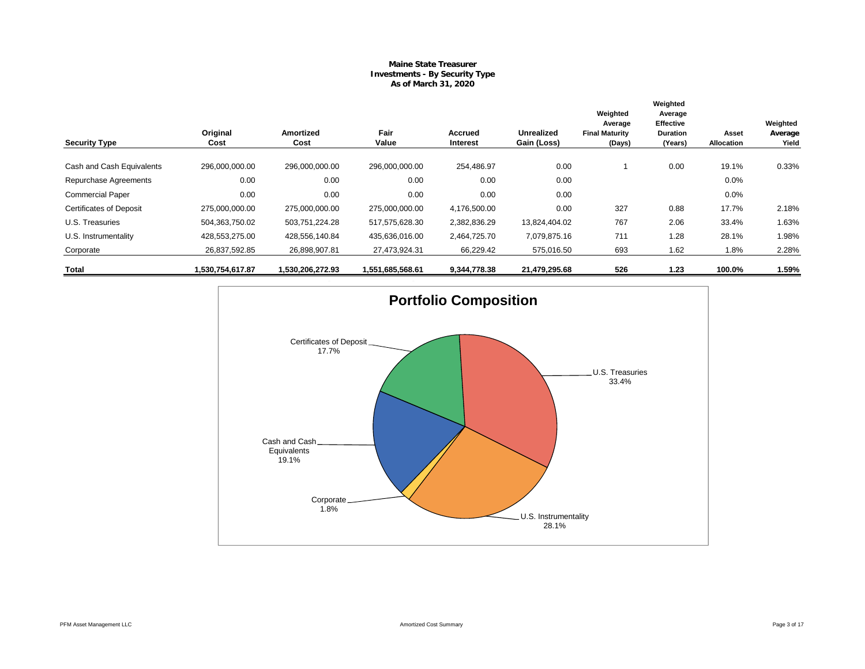## **Maine State Treasurer Investments - By Security Type As of March 31, 2020**

|                                |                  |                          |                  |                     |                           | Weighted<br>Average             | Weighted<br>Average<br><b>Effective</b> |                     | Weighted         |
|--------------------------------|------------------|--------------------------|------------------|---------------------|---------------------------|---------------------------------|-----------------------------------------|---------------------|------------------|
| <b>Security Type</b>           | Original<br>Cost | <b>Amortized</b><br>Cost | Fair<br>Value    | Accrued<br>Interest | Unrealized<br>Gain (Loss) | <b>Final Maturity</b><br>(Days) | <b>Duration</b><br>(Years)              | Asset<br>Allocation | Average<br>Yield |
| Cash and Cash Equivalents      | 296,000,000.00   | 296,000,000.00           | 296,000,000.00   | 254.486.97          | 0.00                      |                                 | 0.00                                    | 19.1%               | 0.33%            |
| Repurchase Agreements          | 0.00             | 0.00                     | 0.00             | 0.00                | 0.00                      |                                 |                                         | 0.0%                |                  |
| <b>Commercial Paper</b>        | 0.00             | 0.00                     | 0.00             | 0.00                | 0.00                      |                                 |                                         | 0.0%                |                  |
| <b>Certificates of Deposit</b> | 275.000.000.00   | 275,000,000.00           | 275,000,000.00   | 4,176,500.00        | 0.00                      | 327                             | 0.88                                    | 17.7%               | 2.18%            |
| U.S. Treasuries                | 504,363,750.02   | 503,751,224.28           | 517,575,628.30   | 2,382,836.29        | 13,824,404.02             | 767                             | 2.06                                    | 33.4%               | 1.63%            |
| U.S. Instrumentality           | 428,553,275.00   | 428,556,140.84           | 435,636,016.00   | 2,464,725.70        | 7,079,875.16              | 711                             | 1.28                                    | 28.1%               | 1.98%            |
| Corporate                      | 26,837,592.85    | 26,898,907.81            | 27,473,924.31    | 66,229.42           | 575,016.50                | 693                             | 1.62                                    | 1.8%                | 2.28%            |
| Total                          | 1,530,754,617.87 | 1,530,206,272.93         | 1,551,685,568.61 | 9,344,778.38        | 21,479,295.68             | 526                             | 1.23                                    | 100.0%              | 1.59%            |

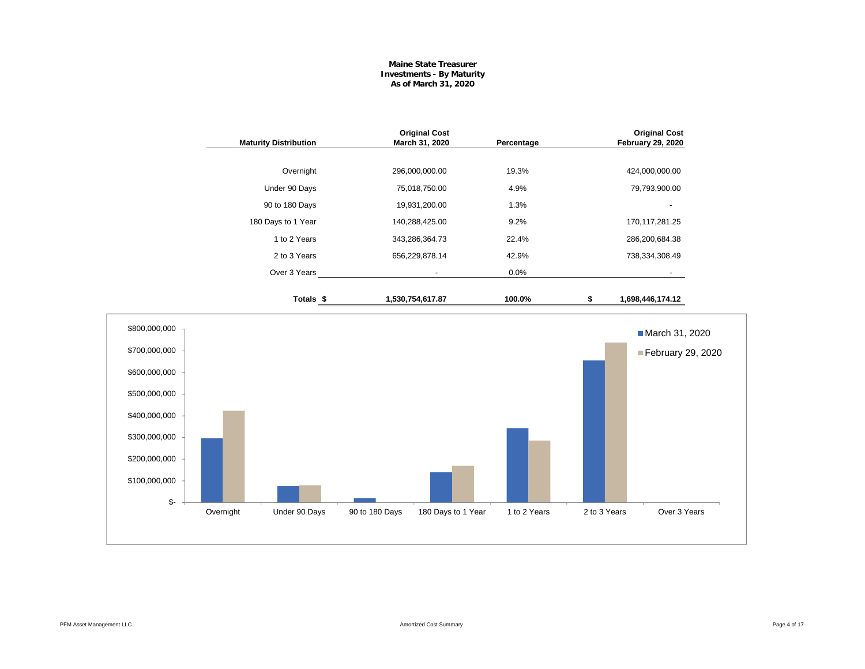### **Maine State Treasurer Investments - By Maturity As of March 31, 2020**

| <b>Original Cost</b><br><b>February 29, 2020</b> | Percentage | <b>Original Cost</b><br>March 31, 2020 | <b>Maturity Distribution</b> |
|--------------------------------------------------|------------|----------------------------------------|------------------------------|
|                                                  |            |                                        |                              |
| 424,000,000.00                                   | 19.3%      | 296,000,000.00                         | Overnight                    |
| 79,793,900.00                                    | 4.9%       | 75,018,750.00                          | Under 90 Days                |
|                                                  | 1.3%       | 19,931,200.00                          | 90 to 180 Days               |
| 170, 117, 281. 25                                | 9.2%       | 140,288,425.00                         | 180 Days to 1 Year           |
| 286,200,684.38                                   | 22.4%      | 343,286,364.73                         | 1 to 2 Years                 |
| 738,334,308.49                                   | 42.9%      | 656,229,878.14                         | 2 to 3 Years                 |
|                                                  | 0.0%       | $\overline{\phantom{a}}$               | Over 3 Years                 |
| \$<br>1,698,446,174.12                           | 100.0%     | 1,530,754,617.87                       | Totals \$                    |

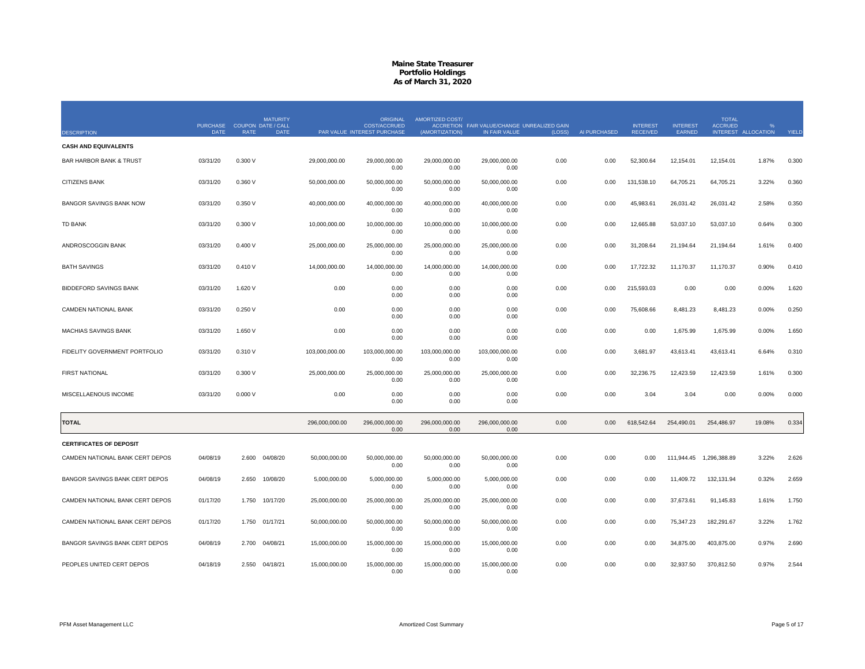| <b>DESCRIPTION</b>                 | PURCHASE COUPON DATE / CALL<br><b>DATE</b> | <b>RATE</b> | <b>MATURITY</b><br><b>DATE</b> |                | <b>ORIGINAL</b><br><b>COST/ACCRUED</b><br>PAR VALUE INTEREST PURCHASE | AMORTIZED COST/<br>(AMORTIZATION) | ACCRETION FAIR VALUE/CHANGE UNREALIZED GAIN<br>IN FAIR VALUE | (LOSS) | AI PURCHASED | <b>INTEREST</b><br><b>RECEIVED</b> | <b>INTEREST</b><br>EARNED | <b>TOTAL</b><br><b>ACCRUED</b> | INTEREST ALLOCATION | YIELD |
|------------------------------------|--------------------------------------------|-------------|--------------------------------|----------------|-----------------------------------------------------------------------|-----------------------------------|--------------------------------------------------------------|--------|--------------|------------------------------------|---------------------------|--------------------------------|---------------------|-------|
| <b>CASH AND EQUIVALENTS</b>        |                                            |             |                                |                |                                                                       |                                   |                                                              |        |              |                                    |                           |                                |                     |       |
| <b>BAR HARBOR BANK &amp; TRUST</b> | 03/31/20                                   | 0.300 V     |                                | 29,000,000.00  | 29,000,000.00<br>0.00                                                 | 29,000,000.00<br>0.00             | 29,000,000.00<br>0.00                                        | 0.00   | 0.00         | 52,300.64                          | 12,154.01                 | 12,154.01                      | 1.87%               | 0.300 |
| <b>CITIZENS BANK</b>               | 03/31/20                                   | 0.360 V     |                                | 50,000,000.00  | 50,000,000.00<br>0.00                                                 | 50,000,000.00<br>0.00             | 50,000,000.00<br>0.00                                        | 0.00   | 0.00         | 131,538.10                         | 64,705.21                 | 64,705.21                      | 3.22%               | 0.360 |
| <b>BANGOR SAVINGS BANK NOW</b>     | 03/31/20                                   | 0.350 V     |                                | 40,000,000.00  | 40,000,000.00<br>0.00                                                 | 40,000,000.00<br>0.00             | 40,000,000.00<br>0.00                                        | 0.00   | 0.00         | 45,983.61                          | 26,031.42                 | 26,031.42                      | 2.58%               | 0.350 |
| <b>TD BANK</b>                     | 03/31/20                                   | 0.300 V     |                                | 10,000,000.00  | 10,000,000.00<br>0.00                                                 | 10,000,000.00<br>0.00             | 10,000,000.00<br>0.00                                        | 0.00   | 0.00         | 12,665.88                          | 53,037.10                 | 53,037.10                      | 0.64%               | 0.300 |
| ANDROSCOGGIN BANK                  | 03/31/20                                   | 0.400V      |                                | 25,000,000.00  | 25,000,000.00<br>0.00                                                 | 25,000,000.00<br>0.00             | 25,000,000.00<br>0.00                                        | 0.00   | 0.00         | 31,208.64                          | 21,194.64                 | 21,194.64                      | 1.61%               | 0.400 |
| <b>BATH SAVINGS</b>                | 03/31/20                                   | 0.410V      |                                | 14,000,000.00  | 14,000,000.00<br>0.00                                                 | 14,000,000.00<br>0.00             | 14,000,000.00<br>0.00                                        | 0.00   | 0.00         | 17,722.32                          | 11,170.37                 | 11,170.37                      | 0.90%               | 0.410 |
| <b>BIDDEFORD SAVINGS BANK</b>      | 03/31/20                                   | 1.620 V     |                                | 0.00           | 0.00<br>0.00                                                          | 0.00<br>0.00                      | 0.00<br>0.00                                                 | 0.00   | 0.00         | 215,593.03                         | 0.00                      | 0.00                           | 0.00%               | 1.620 |
| CAMDEN NATIONAL BANK               | 03/31/20                                   | 0.250V      |                                | 0.00           | 0.00<br>0.00                                                          | 0.00<br>0.00                      | 0.00<br>0.00                                                 | 0.00   | 0.00         | 75,608.66                          | 8,481.23                  | 8,481.23                       | 0.00%               | 0.250 |
| <b>MACHIAS SAVINGS BANK</b>        | 03/31/20                                   | 1.650 V     |                                | 0.00           | 0.00<br>0.00                                                          | 0.00<br>0.00                      | 0.00<br>0.00                                                 | 0.00   | 0.00         | 0.00                               | 1,675.99                  | 1,675.99                       | 0.00%               | 1.650 |
| FIDELITY GOVERNMENT PORTFOLIO      | 03/31/20                                   | 0.310 V     |                                | 103,000,000.00 | 103,000,000.00<br>0.00                                                | 103,000,000.00<br>0.00            | 103,000,000.00<br>0.00                                       | 0.00   | 0.00         | 3,681.97                           | 43,613.41                 | 43,613.41                      | 6.64%               | 0.310 |
| <b>FIRST NATIONAL</b>              | 03/31/20                                   | 0.300 V     |                                | 25,000,000.00  | 25,000,000.00<br>0.00                                                 | 25,000,000.00<br>0.00             | 25,000,000.00<br>0.00                                        | 0.00   | 0.00         | 32,236.75                          | 12,423.59                 | 12,423.59                      | 1.61%               | 0.300 |
| MISCELLAENOUS INCOME               | 03/31/20                                   | 0.000V      |                                | 0.00           | 0.00<br>0.00                                                          | 0.00<br>0.00                      | 0.00<br>0.00                                                 | 0.00   | 0.00         | 3.04                               | 3.04                      | 0.00                           | 0.00%               | 0.000 |
| <b>TOTAL</b>                       |                                            |             |                                | 296,000,000.00 | 296,000,000.00<br>0.00                                                | 296,000,000.00<br>0.00            | 296,000,000.00<br>0.00                                       | 0.00   | 0.00         | 618,542.64                         | 254,490.01                | 254,486.97                     | 19.08%              | 0.334 |
| <b>CERTIFICATES OF DEPOSIT</b>     |                                            |             |                                |                |                                                                       |                                   |                                                              |        |              |                                    |                           |                                |                     |       |
| CAMDEN NATIONAL BANK CERT DEPOS    | 04/08/19                                   | 2.600       | 04/08/20                       | 50,000,000.00  | 50,000,000.00<br>0.00                                                 | 50,000,000.00<br>0.00             | 50,000,000.00<br>0.00                                        | 0.00   | 0.00         | 0.00                               |                           | 111,944.45  1,296,388.89       | 3.22%               | 2.626 |
| BANGOR SAVINGS BANK CERT DEPOS     | 04/08/19                                   | 2.650       | 10/08/20                       | 5,000,000.00   | 5,000,000.00<br>0.00                                                  | 5,000,000.00<br>0.00              | 5,000,000.00<br>0.00                                         | 0.00   | 0.00         | 0.00                               | 11,409.72                 | 132,131.94                     | 0.32%               | 2.659 |
| CAMDEN NATIONAL BANK CERT DEPOS    | 01/17/20                                   | 1.750       | 10/17/20                       | 25,000,000.00  | 25,000,000.00<br>0.00                                                 | 25,000,000.00<br>0.00             | 25,000,000.00<br>0.00                                        | 0.00   | 0.00         | 0.00                               | 37,673.61                 | 91,145.83                      | 1.61%               | 1.750 |
| CAMDEN NATIONAL BANK CERT DEPOS    | 01/17/20                                   | 1.750       | 01/17/21                       | 50,000,000.00  | 50,000,000.00<br>0.00                                                 | 50,000,000.00<br>0.00             | 50,000,000.00<br>0.00                                        | 0.00   | 0.00         | 0.00                               | 75,347.23                 | 182,291.67                     | 3.22%               | 1.762 |
| BANGOR SAVINGS BANK CERT DEPOS     | 04/08/19                                   | 2.700       | 04/08/21                       | 15,000,000.00  | 15,000,000.00<br>0.00                                                 | 15,000,000.00<br>0.00             | 15,000,000.00<br>0.00                                        | 0.00   | 0.00         | 0.00                               | 34,875.00                 | 403,875.00                     | 0.97%               | 2.690 |
| PEOPLES UNITED CERT DEPOS          | 04/18/19                                   | 2.550       | 04/18/21                       | 15,000,000.00  | 15,000,000.00<br>0.00                                                 | 15,000,000.00<br>0.00             | 15,000,000.00<br>0.00                                        | 0.00   | 0.00         | 0.00                               | 32,937.50                 | 370,812.50                     | 0.97%               | 2.544 |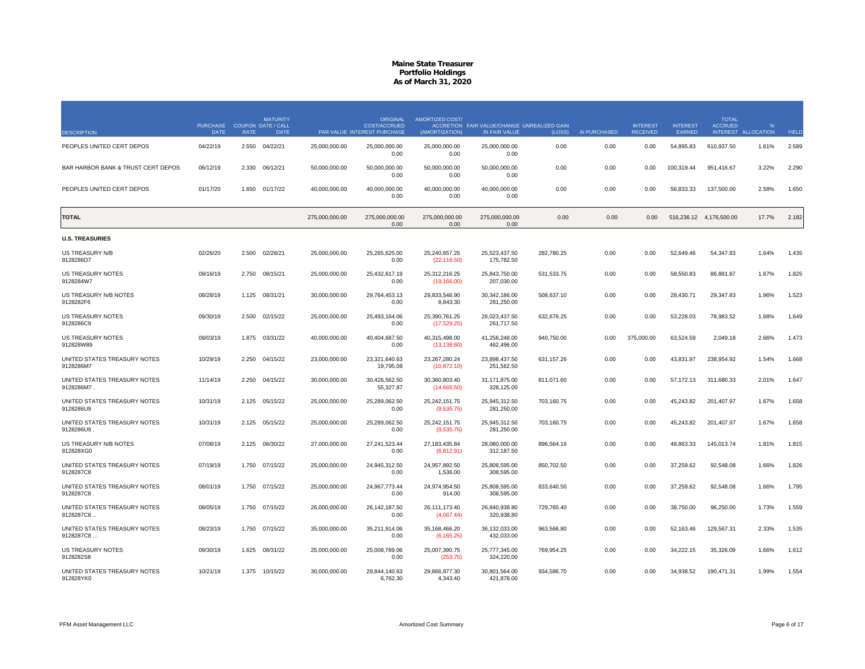|                                           | <b>PURCHASE</b> |             | <b>MATURITY</b><br><b>COUPON DATE / CALL</b> |                | <b>ORIGINAL</b><br><b>COST/ACCRUED</b> | AMORTIZED COST/               | ACCRETION FAIR VALUE/CHANGE UNREALIZED GAIN |            |              | <b>INTEREST</b> | <b>INTEREST</b> | <b>TOTAL</b><br><b>ACCRUED</b> | $\mathbf{Q}$      |       |
|-------------------------------------------|-----------------|-------------|----------------------------------------------|----------------|----------------------------------------|-------------------------------|---------------------------------------------|------------|--------------|-----------------|-----------------|--------------------------------|-------------------|-------|
| <b>DESCRIPTION</b>                        | DATE            | <b>RATE</b> | DATE                                         |                | PAR VALUE INTEREST PURCHASE            | (AMORTIZATION)                | IN FAIR VALUE                               | (LOSS)     | AI PURCHASED | <b>RECEIVED</b> | EARNED          | <b>INTEREST</b>                | <b>ALLOCATION</b> | YIELD |
| PEOPLES UNITED CERT DEPOS                 | 04/22/19        | 2.550       | 04/22/21                                     | 25,000,000.00  | 25,000,000.00<br>0.00                  | 25,000,000.00<br>0.00         | 25,000,000.00<br>0.00                       | 0.00       | 0.00         | 0.00            | 54,895.83       | 610,937.50                     | 1.61%             | 2.589 |
| BAR HARBOR BANK & TRUST CERT DEPOS        | 06/12/19        | 2.330       | 06/12/21                                     | 50,000,000.00  | 50,000,000.00<br>0.00                  | 50,000,000.00<br>0.00         | 50,000,000.00<br>0.00                       | 0.00       | 0.00         | 0.00            | 100,319.44      | 951,416.67                     | 3.22%             | 2.290 |
| PEOPLES UNITED CERT DEPOS                 | 01/17/20        | 1.650       | 01/17/22                                     | 40.000.000.00  | 40.000.000.00<br>0.00                  | 40.000.000.00<br>0.00         | 40.000.000.00<br>0.00                       | 0.00       | 0.00         | 0.00            | 56.833.33       | 137.500.00                     | 2.58%             | 1.650 |
| TOTAL                                     |                 |             |                                              | 275,000,000.00 | 275,000,000.00<br>0.00                 | 275,000,000.00<br>0.00        | 275,000,000.00<br>0.00                      | 0.00       | 0.00         | 0.00            |                 | 516,236.12 4,176,500.00        | 17.7%             | 2.182 |
| <b>U.S. TREASURIES</b>                    |                 |             |                                              |                |                                        |                               |                                             |            |              |                 |                 |                                |                   |       |
| US TREASURY N/B<br>9128286D7              | 02/26/20        | 2.500       | 02/28/21                                     | 25,000,000.00  | 25,265,625.00<br>0.00                  | 25,240,657.25<br>(22, 116.50) | 25,523,437.50<br>175,782.50                 | 282,780.25 | 0.00         | 0.00            | 52,649.46       | 54,347.83                      | 1.64%             | 1.435 |
| <b>US TREASURY NOTES</b><br>9128284W7     | 09/16/19        | 2.750       | 08/15/21                                     | 25,000,000.00  | 25,432,617.19<br>0.00                  | 25,312,216.25<br>(19, 166.00) | 25,843,750.00<br>207,030.00                 | 531,533.75 | 0.00         | 0.00            | 58,550.83       | 86,881.87                      | 1.67%             | 1.825 |
| US TREASURY N/B NOTES<br>9128282F6        | 08/28/19        | 1 1 2 5     | 08/31/21                                     | 30,000,000.00  | 29.764.453.13<br>0.00                  | 29.833.548.90<br>9,843.30     | 30.342.186.00<br>281,250.00                 | 508,637.10 | 0.00         | 0.00            | 28.430.71       | 29,347.83                      | 1.96%             | 1.523 |
| <b>US TREASURY NOTES</b><br>9128286C9     | 09/30/19        | 2.500       | 02/15/22                                     | 25,000,000.00  | 25,493,164.06<br>0.00                  | 25,390,761.25<br>(17,529.25)  | 26,023,437.50<br>261,717.50                 | 632,676.25 | 0.00         | 0.00            | 53,228.03       | 78,983.52                      | 1.68%             | 1.649 |
| <b>US TREASURY NOTES</b><br>912828W89     | 09/03/19        | 1.875       | 03/31/22                                     | 40,000,000.00  | 40,404,687.50<br>0.00                  | 40,315,498.00<br>(13, 138.80) | 41,256,248.00<br>462,496.00                 | 940,750.00 | 0.00         | 375,000.00      | 63,524.59       | 2,049.18                       | 2.66%             | 1.473 |
| UNITED STATES TREASURY NOTES<br>9128286M7 | 10/29/19        | 2.250       | 04/15/22                                     | 23,000,000.00  | 23,321,640.63<br>19,795.08             | 23,267,280.24<br>(10, 872.10) | 23,898,437.50<br>251,562.50                 | 631,157.26 | 0.00         | 0.00            | 43,831.97       | 238,954.92                     | 1.54%             | 1.668 |
| UNITED STATES TREASURY NOTES<br>9128286M7 | 11/14/19        | 2.250       | 04/15/22                                     | 30,000,000.00  | 30,426,562.50<br>55,327.87             | 30,360,803.40<br>(14,665.50)  | 31,171,875.00<br>328,125.00                 | 811,071.60 | 0.00         | 0.00            | 57,172.13       | 311,680.33                     | 2.01%             | 1.647 |
| UNITED STATES TREASURY NOTES<br>9128286U9 | 10/31/19        | 2.125       | 05/15/22                                     | 25,000,000.00  | 25,289,062.50<br>0.00                  | 25,242,151.75<br>(9,535.75)   | 25,945,312.50<br>281,250.00                 | 703,160.75 | 0.00         | 0.00            | 45,243.82       | 201,407.97                     | 1.67%             | 1.658 |
| UNITED STATES TREASURY NOTES<br>9128286U9 | 10/31/19        | 2.125       | 05/15/22                                     | 25,000,000.00  | 25,289,062.50<br>0.00                  | 25,242,151.75<br>(9,535.75)   | 25,945,312.50<br>281,250.00                 | 703,160.75 | 0.00         | 0.00            | 45,243.82       | 201,407.97                     | 1.67%             | 1.658 |
| US TREASURY N/B NOTES<br>912828XG0        | 07/08/19        |             | 2.125 06/30/22                               | 27,000,000.00  | 27,241,523.44<br>0.00                  | 27, 183, 435.84<br>(6,812.91) | 28.080.000.00<br>312,187.50                 | 896,564.16 | 0.00         | 0.00            | 48,863.33       | 145,013.74                     | 1.81%             | 1.815 |
| UNITED STATES TREASURY NOTES<br>9128287C8 | 07/19/19        | 1.750       | 07/15/22                                     | 25,000,000.00  | 24,945,312.50<br>0.00                  | 24,957,892.50<br>1,536.00     | 25,808,595.00<br>308,595.00                 | 850,702.50 | 0.00         | 0.00            | 37,259.62       | 92,548.08                      | 1.66%             | 1.826 |
| UNITED STATES TREASURY NOTES<br>9128287C8 | 08/01/19        | 1.750       | 07/15/22                                     | 25,000,000.00  | 24,967,773.44<br>0.00                  | 24,974,954.50<br>914.00       | 25,808,595.00<br>308.595.00                 | 833,640.50 | 0.00         | 0.00            | 37,259.62       | 92,548.08                      | 1.66%             | 1.795 |
| UNITED STATES TREASURY NOTES<br>9128287C8 | 08/05/19        | 1.750       | 07/15/22                                     | 26,000,000.00  | 26, 142, 187.50<br>0.00                | 26,111,173.40<br>(4,067.44)   | 26,840,938.80<br>320,938.80                 | 729,765.40 | 0.00         | 0.00            | 38,750.00       | 96,250.00                      | 1.73%             | 1.559 |
| UNITED STATES TREASURY NOTES<br>9128287C8 | 08/23/19        | 1.750       | 07/15/22                                     | 35,000,000.00  | 35.211.914.06<br>0.00                  | 35,168,466.20<br>(6, 165.25)  | 36.132.033.00<br>432,033.00                 | 963.566.80 | 0.00         | 0.00            | 52,163.46       | 129,567.31                     | 2.33%             | 1.535 |
| <b>US TREASURY NOTES</b><br>9128282S8     | 09/30/19        | 1.625       | 08/31/22                                     | 25,000,000.00  | 25.008.789.06<br>0.00                  | 25,007,390.75<br>(253.75)     | 25,777,345.00<br>324,220.00                 | 769,954.25 | 0.00         | 0.00            | 34,222.15       | 35,326.09                      | 1.66%             | 1.612 |
| UNITED STATES TREASURY NOTES<br>912828YK0 | 10/21/19        |             | 1.375 10/15/22                               | 30,000,000.00  | 29,844,140.63<br>6,762.30              | 29,866,977.30<br>4,343.40     | 30,801,564.00<br>421,878.00                 | 934,586.70 | 0.00         | 0.00            | 34,938.52       | 190,471.31                     | 1.99%             | 1.554 |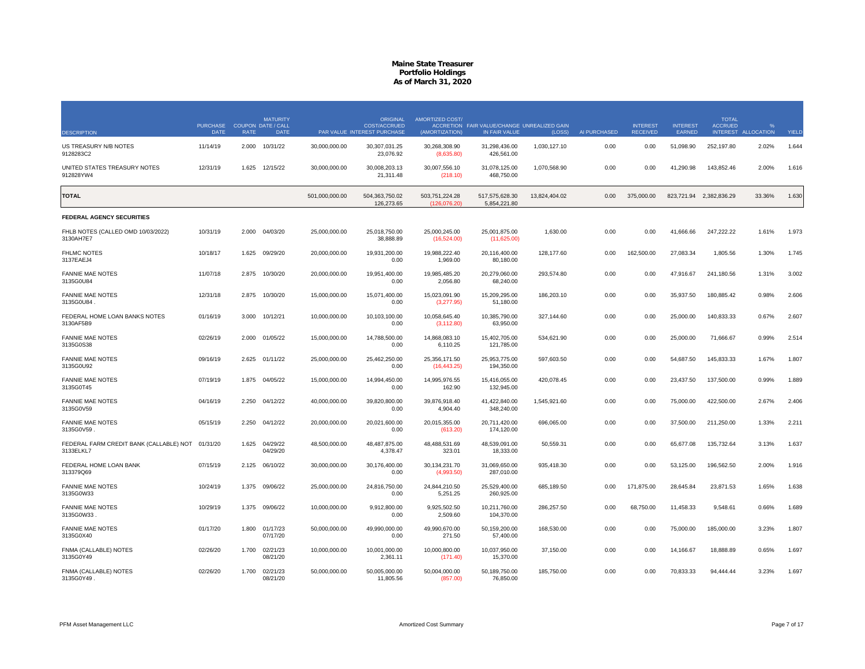|                                                               | <b>PURCHASE</b><br><b>DATE</b> | <b>RATE</b> | <b>MATURITY</b><br><b>COUPON DATE / CALL</b><br><b>DATE</b> |                | <b>ORIGINAL</b><br><b>COST/ACCRUED</b><br>PAR VALUE INTEREST PURCHASE | <b>AMORTIZED COST/</b><br>(AMORTIZATION) | ACCRETION FAIR VALUE/CHANGE UNREALIZED GAIN<br>IN FAIR VALUE | (LOSS)        | AI PURCHASED | <b>INTEREST</b><br><b>RECEIVED</b> | <b>INTEREST</b><br><b>EARNED</b> | <b>TOTAL</b><br><b>ACCRUED</b><br><b>INTEREST</b> | <b>ALLOCATION</b> | YIELD |
|---------------------------------------------------------------|--------------------------------|-------------|-------------------------------------------------------------|----------------|-----------------------------------------------------------------------|------------------------------------------|--------------------------------------------------------------|---------------|--------------|------------------------------------|----------------------------------|---------------------------------------------------|-------------------|-------|
| <b>DESCRIPTION</b><br>US TREASURY N/B NOTES                   | 11/14/19                       | 2.000       | 10/31/22                                                    | 30,000,000.00  | 30,307,031.25                                                         | 30,268,308.90                            | 31,298,436.00                                                | 1,030,127.10  | 0.00         | 0.00                               | 51,098.90                        | 252,197.80                                        | 2.02%             | 1.644 |
| 9128283C2                                                     |                                |             |                                                             |                | 23,076.92                                                             | (8,635.80)                               | 426,561.00                                                   |               |              |                                    |                                  |                                                   |                   |       |
| UNITED STATES TREASURY NOTES<br>912828YW4                     | 12/31/19                       | 1.625       | 12/15/22                                                    | 30,000,000.00  | 30.008.203.13<br>21,311.48                                            | 30,007,556.10<br>(218.10)                | 31,078,125.00<br>468,750.00                                  | 1,070,568.90  | 0.00         | 0.00                               | 41,290.98                        | 143,852.46                                        | 2.00%             | 1.616 |
| <b>TOTAL</b>                                                  |                                |             |                                                             | 501,000,000.00 | 504,363,750.02<br>126,273.65                                          | 503,751,224.28<br>(126,076.20)           | 517,575,628.30<br>5,854,221.80                               | 13,824,404.02 | 0.00         | 375,000.00                         | 823,721.94                       | 2,382,836.29                                      | 33.36%            | 1.630 |
| <b>FEDERAL AGENCY SECURITIES</b>                              |                                |             |                                                             |                |                                                                       |                                          |                                                              |               |              |                                    |                                  |                                                   |                   |       |
| FHLB NOTES (CALLED OMD 10/03/2022)<br>3130AH7E7               | 10/31/19                       | 2.000       | 04/03/20                                                    | 25,000,000.00  | 25,018,750.00<br>38,888.89                                            | 25,000,245.00<br>(16,524.00)             | 25,001,875.00<br>(11,625.00)                                 | 1,630.00      | 0.00         | 0.00                               | 41,666.66                        | 247,222.22                                        | 1.61%             | 1.973 |
| <b>FHLMC NOTES</b><br>3137EAEJ4                               | 10/18/17                       | 1.625       | 09/29/20                                                    | 20,000,000.00  | 19,931,200.00<br>0.00                                                 | 19,988,222.40<br>1,969.00                | 20,116,400.00<br>80,180.00                                   | 128,177.60    | 0.00         | 162,500.00                         | 27,083.34                        | 1,805.56                                          | 1.30%             | 1.745 |
| <b>FANNIE MAE NOTES</b><br>3135G0U84                          | 11/07/18                       | 2.875       | 10/30/20                                                    | 20,000,000.00  | 19,951,400.00<br>0.00                                                 | 19,985,485.20<br>2,056.80                | 20,279,060.00<br>68,240.00                                   | 293,574.80    | 0.00         | 0.00                               | 47,916.67                        | 241,180.56                                        | 1.31%             | 3.002 |
| <b>FANNIE MAE NOTES</b><br>3135G0U84                          | 12/31/18                       | 2.875       | 10/30/20                                                    | 15,000,000.00  | 15,071,400.00<br>0.00                                                 | 15,023,091.90<br>(3,277.95)              | 15,209,295.00<br>51,180.00                                   | 186,203.10    | 0.00         | 0.00                               | 35,937.50                        | 180,885.42                                        | 0.98%             | 2.606 |
| FEDERAL HOME LOAN BANKS NOTES<br>3130AF5B9                    | 01/16/19                       | 3.000       | 10/12/21                                                    | 10.000.000.00  | 10.103.100.00<br>0.00                                                 | 10.058.645.40<br>(3, 112.80)             | 10.385.790.00<br>63,950.00                                   | 327.144.60    | 0.00         | 0.00                               | 25,000.00                        | 140,833.33                                        | 0.67%             | 2.607 |
| <b>FANNIE MAE NOTES</b><br>3135G0S38                          | 02/26/19                       | 2.000       | 01/05/22                                                    | 15,000,000.00  | 14,788,500.00<br>0.00                                                 | 14,868,083.10<br>6,110.25                | 15,402,705.00<br>121,785.00                                  | 534,621.90    | 0.00         | 0.00                               | 25,000.00                        | 71,666.67                                         | 0.99%             | 2.514 |
| <b>FANNIE MAE NOTES</b><br>3135G0U92                          | 09/16/19                       | 2.625       | 01/11/22                                                    | 25,000,000.00  | 25,462,250.00<br>0.00                                                 | 25,356,171.50<br>(16, 443.25)            | 25,953,775.00<br>194,350.00                                  | 597,603.50    | 0.00         | 0.00                               | 54,687.50                        | 145,833.33                                        | 1.67%             | 1.807 |
| <b>FANNIE MAE NOTES</b><br>3135G0T45                          | 07/19/19                       | 1.875       | 04/05/22                                                    | 15,000,000.00  | 14,994,450.00<br>0.00                                                 | 14,995,976.55<br>162.90                  | 15,416,055.00<br>132,945.00                                  | 420,078.45    | 0.00         | 0.00                               | 23,437.50                        | 137,500.00                                        | 0.99%             | 1.889 |
| <b>FANNIE MAE NOTES</b><br>3135G0V59                          | 04/16/19                       | 2.250       | 04/12/22                                                    | 40,000,000.00  | 39,820,800.00<br>0.00                                                 | 39,876,918.40<br>4,904.40                | 41,422,840.00<br>348,240.00                                  | 1,545,921.60  | 0.00         | 0.00                               | 75,000.00                        | 422,500.00                                        | 2.67%             | 2.406 |
| <b>FANNIE MAE NOTES</b><br>3135G0V59                          | 05/15/19                       | 2.250       | 04/12/22                                                    | 20,000,000.00  | 20,021,600.00<br>0.00                                                 | 20,015,355.00<br>(613.20)                | 20,711,420.00<br>174,120.00                                  | 696,065.00    | 0.00         | 0.00                               | 37,500.00                        | 211,250.00                                        | 1.33%             | 2.211 |
| FEDERAL FARM CREDIT BANK (CALLABLE) NOT 01/31/20<br>3133ELKL7 |                                | 1.625       | 04/29/22<br>04/29/20                                        | 48,500,000.00  | 48,487,875.00<br>4,378.47                                             | 48,488,531.69<br>323.01                  | 48,539,091.00<br>18,333.00                                   | 50,559.31     | 0.00         | 0.00                               | 65,677.08                        | 135,732.64                                        | 3.13%             | 1.637 |
| FEDERAL HOME LOAN BANK<br>313379Q69                           | 07/15/19                       | 2.125       | 06/10/22                                                    | 30,000,000.00  | 30.176.400.00<br>0.00                                                 | 30.134.231.70<br>(4,993.50)              | 31.069.650.00<br>287,010.00                                  | 935,418.30    | 0.00         | 0.00                               | 53,125.00                        | 196,562.50                                        | 2.00%             | 1.916 |
| <b>FANNIE MAE NOTES</b><br>3135G0W33                          | 10/24/19                       | 1.375       | 09/06/22                                                    | 25,000,000.00  | 24,816,750.00<br>0.00                                                 | 24,844,210.50<br>5,251.25                | 25,529,400.00<br>260,925.00                                  | 685,189.50    | 0.00         | 171,875.00                         | 28,645.84                        | 23,871.53                                         | 1.65%             | 1.638 |
| <b>FANNIE MAE NOTES</b><br>3135G0W33                          | 10/29/19                       | 1.375       | 09/06/22                                                    | 10,000,000.00  | 9.912.800.00<br>0.00                                                  | 9,925,502.50<br>2,509.60                 | 10,211,760.00<br>104,370.00                                  | 286,257.50    | 0.00         | 68,750.00                          | 11,458.33                        | 9.548.61                                          | 0.66%             | 1.689 |
| <b>FANNIE MAE NOTES</b><br>3135G0X40                          | 01/17/20                       | 1.800       | 01/17/23<br>07/17/20                                        | 50,000,000.00  | 49,990,000.00<br>0.00                                                 | 49,990,670.00<br>271.50                  | 50,159,200.00<br>57,400.00                                   | 168,530.00    | 0.00         | 0.00                               | 75,000.00                        | 185,000.00                                        | 3.23%             | 1.807 |
| FNMA (CALLABLE) NOTES<br>3135G0Y49                            | 02/26/20                       | 1.700       | 02/21/23<br>08/21/20                                        | 10,000,000.00  | 10,001,000.00<br>2,361.11                                             | 10,000,800.00<br>(171.40)                | 10,037,950.00<br>15,370.00                                   | 37,150.00     | 0.00         | 0.00                               | 14,166.67                        | 18,888.89                                         | 0.65%             | 1.697 |
| FNMA (CALLABLE) NOTES<br>3135G0Y49.                           | 02/26/20                       | 1.700       | 02/21/23<br>08/21/20                                        | 50,000,000.00  | 50,005,000.00<br>11,805.56                                            | 50,004,000.00<br>(857.00)                | 50,189,750.00<br>76,850.00                                   | 185,750.00    | 0.00         | 0.00                               | 70,833.33                        | 94,444.44                                         | 3.23%             | 1.697 |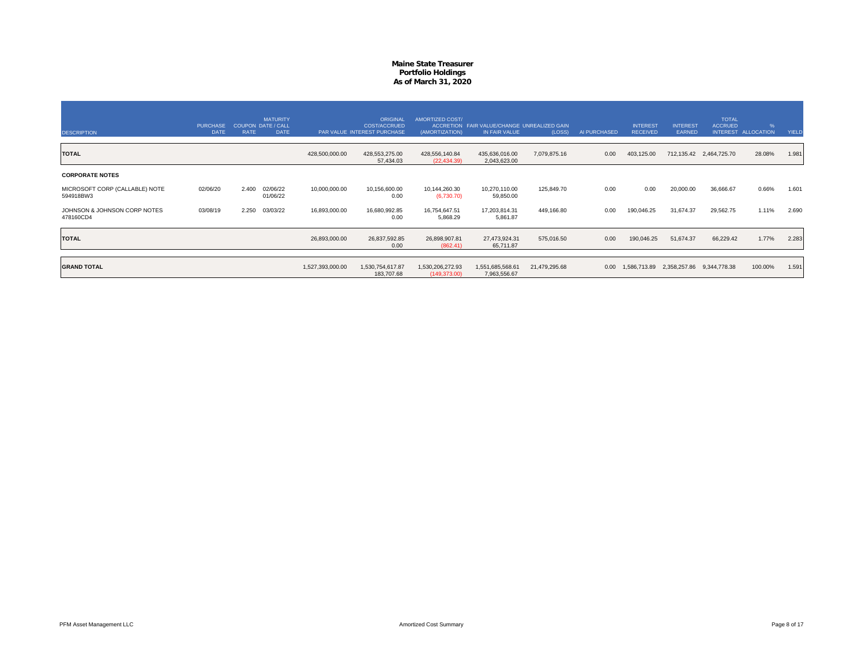| <b>DESCRIPTION</b>                          | <b>PURCHASE</b><br><b>DATE</b> | <b>RATE</b> | <b>MATURITY</b><br><b>COUPON DATE / CALL</b><br><b>DATE</b> |                  | ORIGINAL<br><b>COST/ACCRUED</b><br>PAR VALUE INTEREST PURCHASE | AMORTIZED COST/<br>(AMORTIZATION) | ACCRETION FAIR VALUE/CHANGE UNREALIZED GAIN<br>IN FAIR VALUE | (LOSS)        | AI PURCHASED | <b>INTEREST</b><br><b>RECEIVED</b> | <b>INTEREST</b><br>EARNED | <b>TOTAL</b><br><b>ACCRUED</b><br><b>INTEREST</b> | %<br><b>ALLOCATION</b> | YIELD |
|---------------------------------------------|--------------------------------|-------------|-------------------------------------------------------------|------------------|----------------------------------------------------------------|-----------------------------------|--------------------------------------------------------------|---------------|--------------|------------------------------------|---------------------------|---------------------------------------------------|------------------------|-------|
| <b>TOTAL</b>                                |                                |             |                                                             | 428,500,000.00   | 428,553,275.00<br>57,434.03                                    | 428,556,140.84<br>(22, 434.39)    | 435,636,016.00<br>2,043,623.00                               | 7,079,875.16  | 0.00         | 403,125.00                         |                           | 712,135.42 2,464,725.70                           | 28.08%                 | 1.981 |
| <b>CORPORATE NOTES</b>                      |                                |             |                                                             |                  |                                                                |                                   |                                                              |               |              |                                    |                           |                                                   |                        |       |
| MICROSOFT CORP (CALLABLE) NOTE<br>594918BW3 | 02/06/20                       | 2.400       | 02/06/22<br>01/06/22                                        | 10,000,000.00    | 10,156,600.00<br>0.00                                          | 10,144,260.30<br>(6,730.70)       | 10,270,110.00<br>59,850.00                                   | 125,849.70    | 0.00         | 0.00                               | 20,000.00                 | 36,666.67                                         | 0.66%                  | 1.601 |
| JOHNSON & JOHNSON CORP NOTES<br>478160CD4   | 03/08/19                       | 2.250       | 03/03/22                                                    | 16,893,000.00    | 16,680,992.85<br>0.00                                          | 16,754,647.51<br>5,868.29         | 17,203,814.31<br>5,861.87                                    | 449,166.80    | 0.00         | 190,046.25                         | 31,674.37                 | 29,562.75                                         | 1.11%                  | 2.690 |
| <b>TOTAL</b>                                |                                |             |                                                             | 26,893,000.00    | 26,837,592.85<br>0.00                                          | 26,898,907.81<br>(862.41)         | 27,473,924.31<br>65,711.87                                   | 575,016.50    | 0.00         | 190,046.25                         | 51,674.37                 | 66,229.42                                         | 1.77%                  | 2.283 |
| <b>GRAND TOTAL</b>                          |                                |             |                                                             | 1,527,393,000.00 | 1,530,754,617.87<br>183,707.68                                 | 1,530,206,272.93<br>(149, 373.00) | 1,551,685,568.61<br>7,963,556.67                             | 21,479,295.68 | 0.00         | 1,586,713.89                       |                           | 2,358,257.86 9,344,778.38                         | 100.00%                | 1.591 |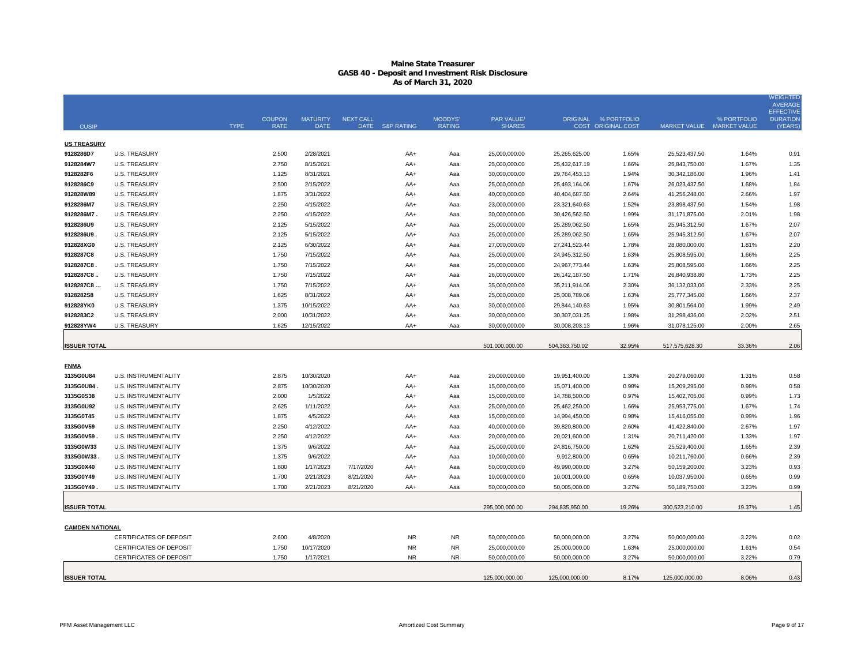## **Maine State Treasurer GASB 40 - Deposit and Investment Risk Disclosure As of March 31, 2020**

|                        |                         |             |               |                 |                  |                 |               |                |                 |                      |                           |             | <b>WEIGHTED</b><br><b>AVERAGE</b>   |
|------------------------|-------------------------|-------------|---------------|-----------------|------------------|-----------------|---------------|----------------|-----------------|----------------------|---------------------------|-------------|-------------------------------------|
|                        |                         |             | <b>COUPON</b> | <b>MATURITY</b> | <b>NEXT CALL</b> |                 | MOODYS'       | PAR VALUE/     |                 | ORIGINAL % PORTFOLIO |                           | % PORTFOLIO | <b>EFFECTIVE</b><br><b>DURATION</b> |
| <b>CUSIP</b>           |                         | <b>TYPE</b> | <b>RATE</b>   | <b>DATE</b>     |                  | DATE S&P RATING | <b>RATING</b> | <b>SHARES</b>  |                 | COST ORIGINAL COST   | MARKET VALUE MARKET VALUE |             | (YEARS)                             |
| <b>US TREASURY</b>     |                         |             |               |                 |                  |                 |               |                |                 |                      |                           |             |                                     |
| 9128286D7              | <b>U.S. TREASURY</b>    |             | 2.500         | 2/28/2021       |                  | AA+             | Aaa           | 25,000,000.00  | 25,265,625.00   | 1.65%                | 25,523,437.50             | 1.64%       | 0.91                                |
| 9128284W7              | <b>U.S. TREASURY</b>    |             | 2.750         | 8/15/2021       |                  | AA+             | Aaa           | 25,000,000.00  | 25,432,617.19   | 1.66%                | 25,843,750.00             | 1.67%       | 1.35                                |
| 9128282F6              | <b>U.S. TREASURY</b>    |             | 1.125         | 8/31/2021       |                  | AA+             | Aaa           | 30,000,000.00  | 29,764,453.13   | 1.94%                | 30,342,186.00             | 1.96%       | 1.41                                |
| 9128286C9              | <b>U.S. TREASURY</b>    |             | 2.500         | 2/15/2022       |                  | AA+             | Aaa           | 25,000,000.00  | 25,493,164.06   | 1.67%                | 26,023,437.50             | 1.68%       | 1.84                                |
| 912828W89              | <b>U.S. TREASURY</b>    |             | 1.875         | 3/31/2022       |                  | AA+             | Aaa           | 40,000,000.00  | 40,404,687.50   | 2.64%                | 41,256,248.00             | 2.66%       | 1.97                                |
| 9128286M7              | <b>U.S. TREASURY</b>    |             | 2.250         | 4/15/2022       |                  | AA+             | Aaa           | 23,000,000.00  | 23,321,640.63   | 1.52%                | 23,898,437.50             | 1.54%       | 1.98                                |
| 9128286M7.             | <b>U.S. TREASURY</b>    |             | 2.250         | 4/15/2022       |                  | AA+             | Aaa           | 30,000,000.00  | 30,426,562.50   | 1.99%                | 31,171,875.00             | 2.01%       | 1.98                                |
| 9128286U9              | <b>U.S. TREASURY</b>    |             | 2.125         | 5/15/2022       |                  | AA+             | Aaa           | 25,000,000.00  | 25,289,062.50   | 1.65%                | 25,945,312.50             | 1.67%       | 2.07                                |
| 9128286U9              | <b>U.S. TREASURY</b>    |             | 2.125         | 5/15/2022       |                  | AA+             | Aaa           | 25,000,000.00  | 25,289,062.50   | 1.65%                | 25,945,312.50             | 1.67%       | 2.07                                |
| 912828XG0              | <b>U.S. TREASURY</b>    |             | 2.125         | 6/30/2022       |                  | AA+             | Aaa           | 27,000,000.00  | 27,241,523.44   | 1.78%                | 28,080,000.00             | 1.81%       | 2.20                                |
| 9128287C8              | <b>U.S. TREASURY</b>    |             | 1.750         | 7/15/2022       |                  | AA+             | Aaa           | 25,000,000.00  | 24,945,312.50   | 1.63%                | 25,808,595.00             | 1.66%       | 2.25                                |
| 9128287C8              | <b>U.S. TREASURY</b>    |             | 1.750         | 7/15/2022       |                  | AA+             | Aaa           | 25,000,000.00  | 24,967,773.44   | 1.63%                | 25,808,595.00             | 1.66%       | 2.25                                |
| 9128287C8              | <b>U.S. TREASURY</b>    |             | 1.750         | 7/15/2022       |                  | AA+             | Aaa           | 26,000,000.00  | 26, 142, 187.50 | 1.71%                | 26,840,938.80             | 1.73%       | 2.25                                |
| 9128287C8              | <b>U.S. TREASURY</b>    |             | 1.750         | 7/15/2022       |                  | AA+             | Aaa           | 35,000,000.00  | 35,211,914.06   | 2.30%                | 36,132,033.00             | 2.33%       | 2.25                                |
| 9128282S8              | <b>U.S. TREASURY</b>    |             | 1.625         | 8/31/2022       |                  | AA+             | Aaa           | 25,000,000.00  | 25,008,789.06   | 1.63%                | 25,777,345.00             | 1.66%       | 2.37                                |
| 912828YK0              | <b>U.S. TREASURY</b>    |             | 1.375         | 10/15/2022      |                  | AA+             | Aaa           | 30,000,000.00  | 29,844,140.63   | 1.95%                | 30,801,564.00             | 1.99%       | 2.49                                |
| 9128283C2              | <b>U.S. TREASURY</b>    |             | 2.000         | 10/31/2022      |                  | AA+             | Aaa           | 30,000,000.00  | 30,307,031.25   | 1.98%                | 31,298,436.00             | 2.02%       | 2.51                                |
| 912828YW4              | <b>U.S. TREASURY</b>    |             | 1.625         | 12/15/2022      |                  | AA+             | Aaa           | 30,000,000.00  | 30,008,203.13   | 1.96%                | 31,078,125.00             | 2.00%       | 2.65                                |
|                        |                         |             |               |                 |                  |                 |               |                |                 |                      |                           |             |                                     |
| <b>ISSUER TOTAL</b>    |                         |             |               |                 |                  |                 |               | 501.000.000.00 | 504,363,750.02  | 32.95%               | 517,575,628.30            | 33.36%      | 2.06                                |
| <b>FNMA</b>            |                         |             |               |                 |                  |                 |               |                |                 |                      |                           |             |                                     |
| 3135G0U84              | U.S. INSTRUMENTALITY    |             | 2.875         | 10/30/2020      |                  | AA+             | Aaa           | 20,000,000.00  | 19,951,400.00   | 1.30%                | 20,279,060.00             | 1.31%       | 0.58                                |
| 3135G0U84              | U.S. INSTRUMENTALITY    |             | 2.875         | 10/30/2020      |                  | AA+             | Aaa           | 15,000,000.00  | 15,071,400.00   | 0.98%                | 15,209,295.00             | 0.98%       | 0.58                                |
| 3135G0S38              | U.S. INSTRUMENTALITY    |             | 2.000         | 1/5/2022        |                  | AA+             | Aaa           | 15,000,000.00  | 14,788,500.00   | 0.97%                | 15,402,705.00             | 0.99%       | 1.73                                |
| 3135G0U92              | U.S. INSTRUMENTALITY    |             | 2.625         | 1/11/2022       |                  | AA+             | Aaa           | 25,000,000.00  | 25,462,250.00   | 1.66%                | 25,953,775.00             | 1.67%       | 1.74                                |
| 3135G0T45              | U.S. INSTRUMENTALITY    |             | 1.875         | 4/5/2022        |                  | AA+             | Aaa           | 15,000,000.00  | 14,994,450.00   | 0.98%                | 15,416,055.00             | 0.99%       | 1.96                                |
| 3135G0V59              | U.S. INSTRUMENTALITY    |             | 2.250         | 4/12/2022       |                  | AA+             | Aaa           | 40,000,000.00  | 39,820,800.00   | 2.60%                | 41,422,840.00             | 2.67%       | 1.97                                |
| 3135G0V59.             | U.S. INSTRUMENTALITY    |             | 2.250         | 4/12/2022       |                  | AA+             | Aaa           | 20,000,000.00  | 20,021,600.00   | 1.31%                | 20,711,420.00             | 1.33%       | 1.97                                |
| 3135G0W33              | U.S. INSTRUMENTALITY    |             | 1.375         | 9/6/2022        |                  | AA+             | Aaa           | 25,000,000.00  | 24,816,750.00   | 1.62%                | 25,529,400.00             | 1.65%       | 2.39                                |
| 3135G0W33              | U.S. INSTRUMENTALITY    |             | 1.375         | 9/6/2022        |                  | AA+             | Aaa           | 10,000,000.00  | 9,912,800.00    | 0.65%                | 10,211,760.00             | 0.66%       | 2.39                                |
| 3135G0X40              | U.S. INSTRUMENTALITY    |             | 1.800         | 1/17/2023       | 7/17/2020        | AA+             | Aaa           | 50,000,000.00  | 49,990,000.00   | 3.27%                | 50,159,200.00             | 3.23%       | 0.93                                |
| 3135G0Y49              | U.S. INSTRUMENTALITY    |             | 1.700         | 2/21/2023       | 8/21/2020        | AA+             | Aaa           | 10,000,000.00  | 10,001,000.00   | 0.65%                | 10,037,950.00             | 0.65%       | 0.99                                |
| 3135G0Y49              | U.S. INSTRUMENTALITY    |             | 1.700         | 2/21/2023       | 8/21/2020        | AA+             | Aaa           | 50,000,000.00  | 50,005,000.00   | 3.27%                | 50,189,750.00             | 3.23%       | 0.99                                |
|                        |                         |             |               |                 |                  |                 |               |                |                 |                      |                           |             |                                     |
| <b>ISSUER TOTAL</b>    |                         |             |               |                 |                  |                 |               | 295,000,000.00 | 294,835,950.00  | 19.26%               | 300,523,210.00            | 19.37%      | 1.45                                |
| <b>CAMDEN NATIONAL</b> |                         |             |               |                 |                  |                 |               |                |                 |                      |                           |             |                                     |
|                        | CERTIFICATES OF DEPOSIT |             | 2.600         | 4/8/2020        |                  | <b>NR</b>       | <b>NR</b>     | 50,000,000.00  | 50,000,000.00   | 3.27%                | 50,000,000.00             | 3.22%       | 0.02                                |
|                        | CERTIFICATES OF DEPOSIT |             | 1.750         | 10/17/2020      |                  | <b>NR</b>       | <b>NR</b>     | 25,000,000.00  | 25,000,000.00   | 1.63%                | 25,000,000.00             | 1.61%       | 0.54                                |
|                        | CERTIFICATES OF DEPOSIT |             | 1.750         | 1/17/2021       |                  | NR.             | ΝR            | 50,000,000.00  | 50,000,000.00   | 3.27%                | 50,000,000.00             | 3.22%       | 0.79                                |
|                        |                         |             |               |                 |                  |                 |               |                |                 |                      |                           |             |                                     |
| <b>ISSUER TOTAL</b>    |                         |             |               |                 |                  |                 |               | 125,000,000.00 | 125,000,000.00  | 8.17%                | 125,000,000.00            | 8.06%       | 0.43                                |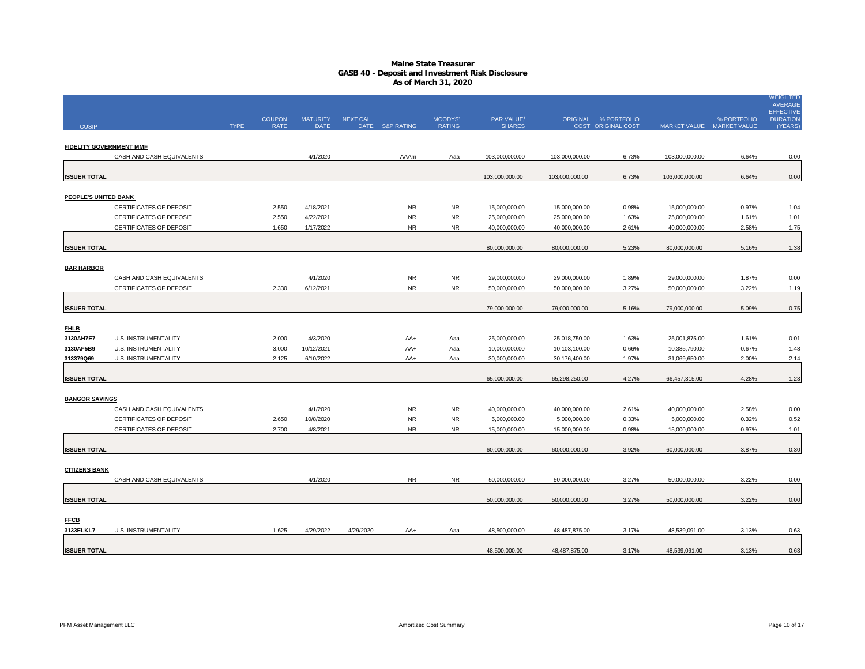## **Maine State Treasurer GASB 40 - Deposit and Investment Risk Disclosure As of March 31, 2020**

|                                |                           |             |               |                 |                  |                 |               |                |                |                      |                           |             | <b>WEIGHTED</b><br><b>AVERAGE</b>   |
|--------------------------------|---------------------------|-------------|---------------|-----------------|------------------|-----------------|---------------|----------------|----------------|----------------------|---------------------------|-------------|-------------------------------------|
|                                |                           |             | <b>COUPON</b> | <b>MATURITY</b> | <b>NEXT CALL</b> |                 | MOODYS'       | PAR VALUE/     |                | ORIGINAL % PORTFOLIO |                           | % PORTFOLIO | <b>EFFECTIVE</b><br><b>DURATION</b> |
| <b>CUSIP</b>                   |                           | <b>TYPE</b> | <b>RATE</b>   | <b>DATE</b>     |                  | DATE S&P RATING | <b>RATING</b> | <b>SHARES</b>  |                | COST ORIGINAL COST   | MARKET VALUE MARKET VALUE |             | (YEARS                              |
| <b>FIDELITY GOVERNMENT MMF</b> |                           |             |               |                 |                  |                 |               |                |                |                      |                           |             |                                     |
|                                | CASH AND CASH EQUIVALENTS |             |               | 4/1/2020        |                  | AAAm            | Aaa           | 103,000,000.00 | 103,000,000.00 | 6.73%                | 103,000,000.00            | 6.64%       | 0.00                                |
|                                |                           |             |               |                 |                  |                 |               |                |                |                      |                           |             |                                     |
| <b>ISSUER TOTAL</b>            |                           |             |               |                 |                  |                 |               | 103,000,000.00 | 103,000,000.00 | 6.73%                | 103,000,000.00            | 6.64%       | 0.00                                |
| PEOPLE'S UNITED BANK           |                           |             |               |                 |                  |                 |               |                |                |                      |                           |             |                                     |
|                                | CERTIFICATES OF DEPOSIT   |             | 2.550         | 4/18/2021       |                  | <b>NR</b>       | <b>NR</b>     | 15,000,000.00  | 15,000,000.00  | 0.98%                | 15,000,000.00             | 0.97%       | 1.04                                |
|                                | CERTIFICATES OF DEPOSIT   |             | 2.550         | 4/22/2021       |                  | <b>NR</b>       | <b>NR</b>     | 25,000,000.00  | 25,000,000.00  | 1.63%                | 25,000,000.00             | 1.61%       | 1.01                                |
|                                | CERTIFICATES OF DEPOSIT   |             | 1.650         | 1/17/2022       |                  | <b>NR</b>       | <b>NR</b>     | 40,000,000.00  | 40,000,000.00  | 2.61%                | 40,000,000.00             | 2.58%       | 1.75                                |
|                                |                           |             |               |                 |                  |                 |               |                |                |                      |                           |             |                                     |
| <b>ISSUER TOTAL</b>            |                           |             |               |                 |                  |                 |               | 80,000,000.00  | 80,000,000.00  | 5.23%                | 80,000,000.00             | 5.16%       | 1.38                                |
|                                |                           |             |               |                 |                  |                 |               |                |                |                      |                           |             |                                     |
| <b>BAR HARBOR</b>              | CASH AND CASH EQUIVALENTS |             |               | 4/1/2020        |                  | NR.             | <b>NR</b>     | 29,000,000.00  | 29,000,000.00  | 1.89%                | 29,000,000.00             | 1.87%       | 0.00                                |
|                                | CERTIFICATES OF DEPOSIT   |             | 2.330         | 6/12/2021       |                  | <b>NR</b>       | <b>NR</b>     | 50,000,000.00  | 50,000,000.00  | 3.27%                | 50,000,000.00             | 3.22%       | 1.19                                |
|                                |                           |             |               |                 |                  |                 |               |                |                |                      |                           |             |                                     |
| <b>ISSUER TOTAL</b>            |                           |             |               |                 |                  |                 |               | 79,000,000.00  | 79,000,000.00  | 5.16%                | 79,000,000.00             | 5.09%       | 0.75                                |
|                                |                           |             |               |                 |                  |                 |               |                |                |                      |                           |             |                                     |
| <b>FHLB</b>                    |                           |             |               |                 |                  |                 |               |                |                |                      |                           |             |                                     |
| 3130AH7E7                      | U.S. INSTRUMENTALITY      |             | 2.000         | 4/3/2020        |                  | AA+             | Aaa           | 25,000,000.00  | 25,018,750.00  | 1.63%                | 25,001,875.00             | 1.61%       | 0.01                                |
| 3130AF5B9                      | U.S. INSTRUMENTALITY      |             | 3.000         | 10/12/2021      |                  | AA+             | Aaa           | 10,000,000.00  | 10,103,100.00  | 0.66%                | 10,385,790.00             | 0.67%       | 1.48                                |
| 313379Q69                      | U.S. INSTRUMENTALITY      |             | 2.125         | 6/10/2022       |                  | AA+             | Aaa           | 30,000,000.00  | 30,176,400.00  | 1.97%                | 31,069,650.00             | 2.00%       | 2.14                                |
| <b>ISSUER TOTAL</b>            |                           |             |               |                 |                  |                 |               | 65,000,000.00  | 65,298,250.00  | 4.27%                | 66,457,315.00             | 4.28%       | 1.23                                |
|                                |                           |             |               |                 |                  |                 |               |                |                |                      |                           |             |                                     |
| <b>BANGOR SAVINGS</b>          |                           |             |               |                 |                  |                 |               |                |                |                      |                           |             |                                     |
|                                | CASH AND CASH EQUIVALENTS |             |               | 4/1/2020        |                  | <b>NR</b>       | <b>NR</b>     | 40,000,000.00  | 40,000,000.00  | 2.61%                | 40,000,000.00             | 2.58%       | 0.00                                |
|                                | CERTIFICATES OF DEPOSIT   |             | 2.650         | 10/8/2020       |                  | <b>NR</b>       | <b>NR</b>     | 5,000,000.00   | 5,000,000.00   | 0.33%                | 5,000,000.00              | 0.32%       | 0.52                                |
|                                | CERTIFICATES OF DEPOSIT   |             | 2.700         | 4/8/2021        |                  | <b>NR</b>       | <b>NR</b>     | 15,000,000.00  | 15,000,000.00  | 0.98%                | 15,000,000.00             | 0.97%       | 1.01                                |
|                                |                           |             |               |                 |                  |                 |               |                |                |                      |                           |             |                                     |
| <b>ISSUER TOTAL</b>            |                           |             |               |                 |                  |                 |               | 60,000,000.00  | 60,000,000.00  | 3.92%                | 60,000,000.00             | 3.87%       | 0.30                                |
| <b>CITIZENS BANK</b>           |                           |             |               |                 |                  |                 |               |                |                |                      |                           |             |                                     |
|                                | CASH AND CASH EQUIVALENTS |             |               | 4/1/2020        |                  | <b>NR</b>       | NR.           | 50,000,000.00  | 50,000,000.00  | 3.27%                | 50,000,000.00             | 3.22%       | 0.00                                |
|                                |                           |             |               |                 |                  |                 |               |                |                |                      |                           |             |                                     |
| <b>ISSUER TOTAL</b>            |                           |             |               |                 |                  |                 |               | 50,000,000.00  | 50,000,000.00  | 3.27%                | 50,000,000.00             | 3.22%       | 0.00                                |
|                                |                           |             |               |                 |                  |                 |               |                |                |                      |                           |             |                                     |
| <b>FFCB</b>                    |                           |             |               |                 |                  |                 |               |                |                |                      |                           |             |                                     |
| 3133ELKL7                      | U.S. INSTRUMENTALITY      |             | 1.625         | 4/29/2022       | 4/29/2020        | AA+             | Aaa           | 48,500,000.00  | 48,487,875.00  | 3.17%                | 48,539,091.00             | 3.13%       | 0.63                                |
| <b>ISSUER TOTAL</b>            |                           |             |               |                 |                  |                 |               | 48,500,000.00  | 48,487,875.00  | 3.17%                | 48,539,091.00             | 3.13%       | 0.63                                |
|                                |                           |             |               |                 |                  |                 |               |                |                |                      |                           |             |                                     |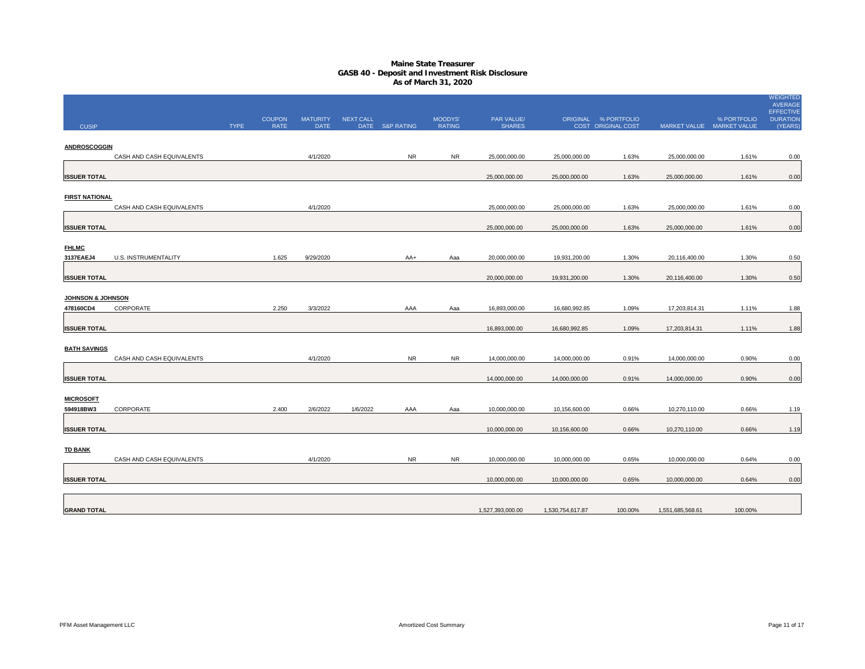## **Maine State Treasurer GASB 40 - Deposit and Investment Risk Disclosure As of March 31, 2020**

|                               |                           |             |               |                 |           |                 |               |                  |                  |                      |                  |                           | WEIGHTED<br><b>AVERAGE</b>          |
|-------------------------------|---------------------------|-------------|---------------|-----------------|-----------|-----------------|---------------|------------------|------------------|----------------------|------------------|---------------------------|-------------------------------------|
|                               |                           |             | <b>COUPON</b> | <b>MATURITY</b> | NEXT CALL |                 | MOODYS'       | PAR VALUE/       |                  | ORIGINAL % PORTFOLIO |                  | % PORTFOLIO               | <b>EFFECTIVE</b><br><b>DURATION</b> |
| <b>CUSIP</b>                  |                           | <b>TYPE</b> | RATE          | <b>DATE</b>     |           | DATE S&P RATING | <b>RATING</b> | <b>SHARES</b>    |                  | COST ORIGINAL COST   |                  | MARKET VALUE MARKET VALUE | (YEARS)                             |
| <b>ANDROSCOGGIN</b>           |                           |             |               |                 |           |                 |               |                  |                  |                      |                  |                           |                                     |
|                               | CASH AND CASH EQUIVALENTS |             |               | 4/1/2020        |           | <b>NR</b>       | <b>NR</b>     | 25,000,000.00    | 25,000,000.00    | 1.63%                | 25,000,000.00    | 1.61%                     | 0.00                                |
|                               |                           |             |               |                 |           |                 |               |                  |                  |                      |                  |                           |                                     |
| <b>ISSUER TOTAL</b>           |                           |             |               |                 |           |                 |               | 25,000,000.00    | 25,000,000.00    | 1.63%                | 25,000,000.00    | 1.61%                     | 0.00                                |
| <b>FIRST NATIONAL</b>         |                           |             |               |                 |           |                 |               |                  |                  |                      |                  |                           |                                     |
|                               | CASH AND CASH EQUIVALENTS |             |               | 4/1/2020        |           |                 |               | 25,000,000.00    | 25,000,000.00    | 1.63%                | 25,000,000.00    | 1.61%                     | 0.00                                |
|                               |                           |             |               |                 |           |                 |               |                  |                  |                      |                  |                           |                                     |
| <b>ISSUER TOTAL</b>           |                           |             |               |                 |           |                 |               | 25,000,000.00    | 25,000,000.00    | 1.63%                | 25,000,000.00    | 1.61%                     | 0.00                                |
| <b>FHLMC</b>                  |                           |             |               |                 |           |                 |               |                  |                  |                      |                  |                           |                                     |
| 3137EAEJ4                     | U.S. INSTRUMENTALITY      |             | 1.625         | 9/29/2020       |           | AA+             | Aaa           | 20,000,000.00    | 19,931,200.00    | 1.30%                | 20,116,400.00    | 1.30%                     | 0.50                                |
| <b>ISSUER TOTAL</b>           |                           |             |               |                 |           |                 |               | 20,000,000.00    | 19,931,200.00    | 1.30%                | 20,116,400.00    | 1.30%                     | 0.50                                |
|                               |                           |             |               |                 |           |                 |               |                  |                  |                      |                  |                           |                                     |
| <b>JOHNSON &amp; JOHNSON</b>  |                           |             |               |                 |           |                 |               |                  |                  |                      |                  |                           |                                     |
| 478160CD4                     | CORPORATE                 |             | 2.250         | 3/3/2022        |           | AAA             | Aaa           | 16,893,000.00    | 16,680,992.85    | 1.09%                | 17,203,814.31    | 1.11%                     | 1.88                                |
| <b>ISSUER TOTAL</b>           |                           |             |               |                 |           |                 |               | 16,893,000.00    | 16,680,992.85    | 1.09%                | 17,203,814.31    | 1.11%                     | 1.88                                |
|                               |                           |             |               |                 |           |                 |               |                  |                  |                      |                  |                           |                                     |
| <b>BATH SAVINGS</b>           |                           |             |               |                 |           |                 |               |                  |                  |                      |                  |                           |                                     |
|                               | CASH AND CASH EQUIVALENTS |             |               | 4/1/2020        |           | <b>NR</b>       | <b>NR</b>     | 14,000,000.00    | 14,000,000.00    | 0.91%                | 14,000,000.00    | 0.90%                     | 0.00                                |
| <b>ISSUER TOTAL</b>           |                           |             |               |                 |           |                 |               | 14,000,000.00    | 14,000,000.00    | 0.91%                | 14,000,000.00    | 0.90%                     | 0.00                                |
|                               |                           |             |               |                 |           |                 |               |                  |                  |                      |                  |                           |                                     |
| <b>MICROSOFT</b><br>594918BW3 | CORPORATE                 |             | 2.400         | 2/6/2022        | 1/6/2022  | AAA             | Aaa           | 10,000,000.00    | 10,156,600.00    | 0.66%                | 10,270,110.00    | 0.66%                     | 1.19                                |
|                               |                           |             |               |                 |           |                 |               |                  |                  |                      |                  |                           |                                     |
| <b>ISSUER TOTAL</b>           |                           |             |               |                 |           |                 |               | 10,000,000.00    | 10,156,600.00    | 0.66%                | 10,270,110.00    | 0.66%                     | 1.19                                |
|                               |                           |             |               |                 |           |                 |               |                  |                  |                      |                  |                           |                                     |
| <b>TD BANK</b>                | CASH AND CASH EQUIVALENTS |             |               | 4/1/2020        |           | <b>NR</b>       | <b>NR</b>     | 10,000,000.00    | 10,000,000.00    | 0.65%                | 10,000,000.00    | 0.64%                     | 0.00                                |
|                               |                           |             |               |                 |           |                 |               |                  |                  |                      |                  |                           |                                     |
| <b>ISSUER TOTAL</b>           |                           |             |               |                 |           |                 |               | 10,000,000.00    | 10,000,000.00    | 0.65%                | 10,000,000.00    | 0.64%                     | 0.00                                |
|                               |                           |             |               |                 |           |                 |               |                  |                  |                      |                  |                           |                                     |
| <b>GRAND TOTAL</b>            |                           |             |               |                 |           |                 |               | 1,527,393,000.00 | 1,530,754,617.87 | 100.00%              | 1,551,685,568.61 | 100.00%                   |                                     |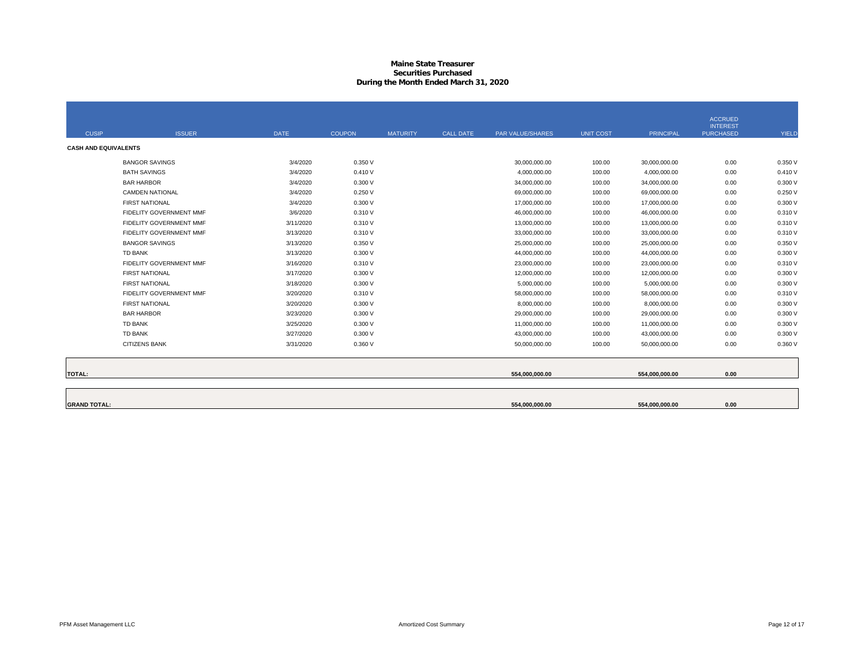## **Maine State Treasurer Securities PurchasedDuring the Month Ended March 31, 2020**

|                             |                         |             |               |                 |                  |                  |                  |                  | <b>ACCRUED</b>   |              |
|-----------------------------|-------------------------|-------------|---------------|-----------------|------------------|------------------|------------------|------------------|------------------|--------------|
|                             |                         |             |               |                 |                  |                  |                  |                  | <b>INTEREST</b>  |              |
| <b>CUSIP</b>                | <b>ISSUER</b>           | <b>DATE</b> | <b>COUPON</b> | <b>MATURITY</b> | <b>CALL DATE</b> | PAR VALUE/SHARES | <b>UNIT COST</b> | <b>PRINCIPAL</b> | <b>PURCHASED</b> | <b>YIELD</b> |
| <b>CASH AND EQUIVALENTS</b> |                         |             |               |                 |                  |                  |                  |                  |                  |              |
|                             | <b>BANGOR SAVINGS</b>   | 3/4/2020    | 0.350 V       |                 |                  | 30,000,000.00    | 100.00           | 30,000,000.00    | 0.00             | 0.350 V      |
|                             | <b>BATH SAVINGS</b>     | 3/4/2020    | 0.410V        |                 |                  | 4.000.000.00     | 100.00           | 4.000.000.00     | 0.00             | 0.410V       |
|                             | <b>BAR HARBOR</b>       | 3/4/2020    | 0.300V        |                 |                  | 34,000,000.00    | 100.00           | 34,000,000.00    | 0.00             | 0.300V       |
|                             | <b>CAMDEN NATIONAL</b>  | 3/4/2020    | 0.250V        |                 |                  | 69,000,000.00    | 100.00           | 69,000,000.00    | 0.00             | 0.250V       |
|                             | <b>FIRST NATIONAL</b>   | 3/4/2020    | 0.300V        |                 |                  | 17,000,000.00    | 100.00           | 17,000,000.00    | 0.00             | 0.300 V      |
|                             | FIDELITY GOVERNMENT MMF | 3/6/2020    | 0.310 V       |                 |                  | 46,000,000.00    | 100.00           | 46,000,000.00    | 0.00             | 0.310 V      |
|                             | FIDELITY GOVERNMENT MMF | 3/11/2020   | 0.310 V       |                 |                  | 13,000,000.00    | 100.00           | 13,000,000.00    | 0.00             | 0.310 V      |
|                             | FIDELITY GOVERNMENT MMF | 3/13/2020   | 0.310 V       |                 |                  | 33,000,000.00    | 100.00           | 33,000,000.00    | 0.00             | 0.310 V      |
|                             | <b>BANGOR SAVINGS</b>   | 3/13/2020   | 0.350 V       |                 |                  | 25.000.000.00    | 100.00           | 25,000,000.00    | 0.00             | 0.350 V      |
|                             | TD BANK                 | 3/13/2020   | 0.300V        |                 |                  | 44,000,000.00    | 100.00           | 44,000,000.00    | 0.00             | 0.300 V      |
|                             | FIDELITY GOVERNMENT MMF | 3/16/2020   | 0.310 V       |                 |                  | 23,000,000.00    | 100.00           | 23,000,000.00    | 0.00             | 0.310 V      |
|                             | <b>FIRST NATIONAL</b>   | 3/17/2020   | 0.300V        |                 |                  | 12,000,000.00    | 100.00           | 12,000,000.00    | 0.00             | 0.300 V      |
|                             | <b>FIRST NATIONAL</b>   | 3/18/2020   | 0.300V        |                 |                  | 5,000,000.00     | 100.00           | 5,000,000.00     | 0.00             | 0.300 V      |
|                             | FIDELITY GOVERNMENT MMF | 3/20/2020   | 0.310 V       |                 |                  | 58,000,000.00    | 100.00           | 58,000,000.00    | 0.00             | 0.310 V      |
|                             | <b>FIRST NATIONAL</b>   | 3/20/2020   | 0.300V        |                 |                  | 8,000,000.00     | 100.00           | 8,000,000.00     | 0.00             | 0.300 V      |
|                             | <b>BAR HARBOR</b>       | 3/23/2020   | 0.300V        |                 |                  | 29,000,000.00    | 100.00           | 29,000,000.00    | 0.00             | 0.300V       |
|                             | TD BANK                 | 3/25/2020   | 0.300V        |                 |                  | 11,000,000.00    | 100.00           | 11,000,000.00    | 0.00             | 0.300 V      |
|                             | TD BANK                 | 3/27/2020   | 0.300V        |                 |                  | 43,000,000.00    | 100.00           | 43,000,000.00    | 0.00             | 0.300 V      |
|                             | <b>CITIZENS BANK</b>    | 3/31/2020   | 0.360 V       |                 |                  | 50,000,000.00    | 100.00           | 50,000,000.00    | 0.00             | 0.360 V      |
|                             |                         |             |               |                 |                  |                  |                  |                  |                  |              |
| <b>TOTAL:</b>               |                         |             |               |                 |                  | 554,000,000.00   |                  | 554.000.000.00   | 0.00             |              |
|                             |                         |             |               |                 |                  |                  |                  |                  |                  |              |
| <b>GRAND TOTAL:</b>         |                         |             |               |                 |                  | 554,000,000.00   |                  | 554.000.000.00   | 0.00             |              |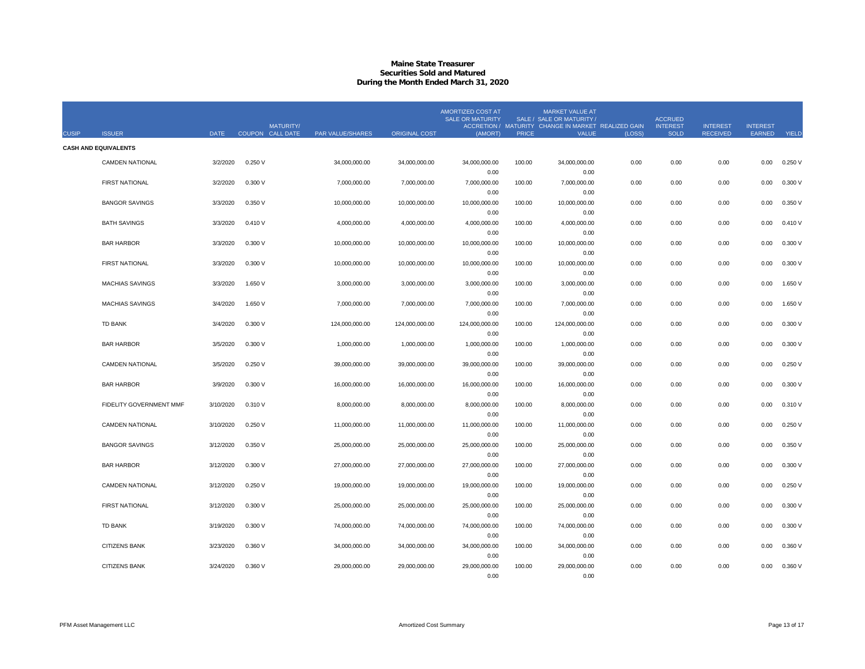## **Maine State Treasurer Securities Sold and MaturedDuring the Month Ended March 31, 2020**

|              |                             |             | <b>MATURITY/</b> |                  |                      | <b>AMORTIZED COST AT</b><br><b>SALE OR MATURITY</b> |              | <b>MARKET VALUE AT</b><br>SALE / SALE OR MATURITY /<br>ACCRETION / MATURITY CHANGE IN MARKET REALIZED GAIN |        | <b>ACCRUED</b><br><b>INTEREST</b> | <b>INTEREST</b> | <b>INTEREST</b> |           |
|--------------|-----------------------------|-------------|------------------|------------------|----------------------|-----------------------------------------------------|--------------|------------------------------------------------------------------------------------------------------------|--------|-----------------------------------|-----------------|-----------------|-----------|
| <b>CUSIP</b> | <b>ISSUER</b>               | <b>DATE</b> | COUPON CALL DATE | PAR VALUE/SHARES | <b>ORIGINAL COST</b> | (AMORT)                                             | <b>PRICE</b> | <b>VALUE</b>                                                                                               | (LOSS) | <b>SOLD</b>                       | <b>RECEIVED</b> | EARNED          | YIELD     |
|              | <b>CASH AND EQUIVALENTS</b> |             |                  |                  |                      |                                                     |              |                                                                                                            |        |                                   |                 |                 |           |
|              | <b>CAMDEN NATIONAL</b>      | 3/2/2020    | 0.250V           | 34,000,000.00    | 34,000,000.00        | 34,000,000.00                                       | 100.00       | 34,000,000.00                                                                                              | 0.00   | 0.00                              | 0.00            | 0.00            | 0.250V    |
|              |                             |             |                  |                  |                      | 0.00                                                |              | 0.00                                                                                                       |        |                                   |                 |                 |           |
|              | <b>FIRST NATIONAL</b>       | 3/2/2020    | 0.300 V          | 7,000,000.00     | 7,000,000.00         | 7,000,000.00                                        | 100.00       | 7,000,000.00                                                                                               | 0.00   | 0.00                              | 0.00            | 0.00            | 0.300V    |
|              |                             |             |                  |                  |                      | 0.00                                                |              | 0.00                                                                                                       |        |                                   |                 |                 |           |
|              | <b>BANGOR SAVINGS</b>       | 3/3/2020    | 0.350 V          | 10,000,000.00    | 10,000,000.00        | 10,000,000.00                                       | 100.00       | 10,000,000.00                                                                                              | 0.00   | 0.00                              | 0.00            | 0.00            | 0.350 V   |
|              |                             |             |                  |                  |                      | 0.00                                                |              | 0.00                                                                                                       |        |                                   |                 |                 |           |
|              | <b>BATH SAVINGS</b>         | 3/3/2020    | 0.410V           | 4,000,000.00     | 4,000,000.00         | 4,000,000.00                                        | 100.00       | 4,000,000.00                                                                                               | 0.00   | 0.00                              | 0.00            | 0.00            | 0.410V    |
|              |                             |             |                  |                  |                      | 0.00                                                |              | 0.00                                                                                                       |        |                                   |                 |                 |           |
|              | <b>BAR HARBOR</b>           | 3/3/2020    | 0.300 V          | 10,000,000.00    | 10,000,000.00        | 10,000,000.00                                       | 100.00       | 10,000,000.00                                                                                              | 0.00   | 0.00                              | 0.00            | 0.00            | 0.300V    |
|              |                             |             |                  |                  |                      | 0.00                                                |              | 0.00                                                                                                       |        |                                   |                 |                 |           |
|              | <b>FIRST NATIONAL</b>       | 3/3/2020    | 0.300 V          | 10,000,000.00    | 10,000,000.00        | 10,000,000.00                                       | 100.00       | 10,000,000.00                                                                                              | 0.00   | 0.00                              | 0.00            | 0.00            | 0.300V    |
|              |                             |             |                  |                  |                      | 0.00                                                |              | 0.00                                                                                                       |        |                                   |                 |                 |           |
|              | <b>MACHIAS SAVINGS</b>      | 3/3/2020    | 1.650 V          | 3,000,000.00     | 3,000,000.00         | 3,000,000.00<br>0.00                                | 100.00       | 3,000,000.00<br>0.00                                                                                       | 0.00   | 0.00                              | 0.00            | 0.00            | 1.650 V   |
|              | <b>MACHIAS SAVINGS</b>      | 3/4/2020    | 1.650 V          | 7.000.000.00     | 7,000,000.00         | 7,000,000.00                                        | 100.00       | 7,000,000.00                                                                                               | 0.00   | 0.00                              | 0.00            | 0.00            | 1.650 $V$ |
|              |                             |             |                  |                  |                      | 0.00                                                |              | 0.00                                                                                                       |        |                                   |                 |                 |           |
|              | TD BANK                     | 3/4/2020    | 0.300 V          | 124,000,000.00   | 124,000,000.00       | 124,000,000.00                                      | 100.00       | 124,000,000.00                                                                                             | 0.00   | 0.00                              | 0.00            | 0.00            | 0.300V    |
|              |                             |             |                  |                  |                      | 0.00                                                |              | 0.00                                                                                                       |        |                                   |                 |                 |           |
|              | <b>BAR HARBOR</b>           | 3/5/2020    | 0.300 V          | 1,000,000.00     | 1,000,000.00         | 1,000,000.00                                        | 100.00       | 1,000,000.00                                                                                               | 0.00   | 0.00                              | 0.00            | 0.00            | 0.300V    |
|              |                             |             |                  |                  |                      | 0.00                                                |              | 0.00                                                                                                       |        |                                   |                 |                 |           |
|              | <b>CAMDEN NATIONAL</b>      | 3/5/2020    | 0.250V           | 39,000,000.00    | 39,000,000.00        | 39,000,000.00                                       | 100.00       | 39,000,000.00                                                                                              | 0.00   | 0.00                              | 0.00            | 0.00            | 0.250V    |
|              |                             |             |                  |                  |                      | 0.00                                                |              | 0.00                                                                                                       |        |                                   |                 |                 |           |
|              | <b>BAR HARBOR</b>           | 3/9/2020    | 0.300 V          | 16,000,000.00    | 16,000,000.00        | 16,000,000.00                                       | 100.00       | 16,000,000.00                                                                                              | 0.00   | 0.00                              | 0.00            | 0.00            | 0.300V    |
|              |                             |             |                  |                  |                      | 0.00                                                |              | 0.00                                                                                                       |        |                                   |                 |                 |           |
|              | FIDELITY GOVERNMENT MMF     | 3/10/2020   | 0.310 V          | 8,000,000.00     | 8,000,000.00         | 8,000,000.00                                        | 100.00       | 8,000,000.00                                                                                               | 0.00   | 0.00                              | 0.00            | 0.00            | 0.310 V   |
|              |                             |             |                  |                  |                      | 0.00                                                |              | 0.00                                                                                                       |        |                                   |                 |                 |           |
|              | <b>CAMDEN NATIONAL</b>      | 3/10/2020   | 0.250V           | 11.000.000.00    | 11.000.000.00        | 11,000,000.00                                       | 100.00       | 11,000,000.00                                                                                              | 0.00   | 0.00                              | 0.00            | 0.00            | 0.250V    |
|              | <b>BANGOR SAVINGS</b>       | 3/12/2020   | 0.350 V          | 25,000,000.00    | 25,000,000.00        | 0.00<br>25,000,000.00                               | 100.00       | 0.00<br>25,000,000.00                                                                                      | 0.00   | 0.00                              | 0.00            | 0.00            | 0.350 V   |
|              |                             |             |                  |                  |                      | 0.00                                                |              | 0.00                                                                                                       |        |                                   |                 |                 |           |
|              | <b>BAR HARBOR</b>           | 3/12/2020   | 0.300 V          | 27,000,000.00    | 27,000,000.00        | 27,000,000.00                                       | 100.00       | 27,000,000.00                                                                                              | 0.00   | 0.00                              | 0.00            | 0.00            | 0.300V    |
|              |                             |             |                  |                  |                      | 0.00                                                |              | 0.00                                                                                                       |        |                                   |                 |                 |           |
|              | <b>CAMDEN NATIONAL</b>      | 3/12/2020   | 0.250V           | 19,000,000.00    | 19,000,000.00        | 19,000,000.00                                       | 100.00       | 19,000,000.00                                                                                              | 0.00   | 0.00                              | 0.00            | 0.00            | 0.250V    |
|              |                             |             |                  |                  |                      | 0.00                                                |              | 0.00                                                                                                       |        |                                   |                 |                 |           |
|              | <b>FIRST NATIONAL</b>       | 3/12/2020   | 0.300 V          | 25,000,000.00    | 25,000,000.00        | 25,000,000.00                                       | 100.00       | 25,000,000.00                                                                                              | 0.00   | 0.00                              | 0.00            | 0.00            | 0.300 V   |
|              |                             |             |                  |                  |                      | 0.00                                                |              | 0.00                                                                                                       |        |                                   |                 |                 |           |
|              | TD BANK                     | 3/19/2020   | 0.300 V          | 74,000,000.00    | 74,000,000.00        | 74,000,000.00                                       | 100.00       | 74,000,000.00                                                                                              | 0.00   | 0.00                              | 0.00            | 0.00            | 0.300V    |
|              |                             |             |                  |                  |                      | 0.00                                                |              | 0.00                                                                                                       |        |                                   |                 |                 |           |
|              | <b>CITIZENS BANK</b>        | 3/23/2020   | 0.360 V          | 34,000,000.00    | 34,000,000.00        | 34,000,000.00                                       | 100.00       | 34,000,000.00                                                                                              | 0.00   | 0.00                              | 0.00            | 0.00            | 0.360 V   |
|              |                             |             |                  |                  |                      | 0.00                                                |              | 0.00                                                                                                       |        |                                   |                 |                 |           |
|              | <b>CITIZENS BANK</b>        | 3/24/2020   | 0.360V           | 29,000,000.00    | 29,000,000.00        | 29,000,000.00                                       | 100.00       | 29,000,000.00                                                                                              | 0.00   | 0.00                              | 0.00            | 0.00            | 0.360 V   |
|              |                             |             |                  |                  |                      | 0.00                                                |              | 0.00                                                                                                       |        |                                   |                 |                 |           |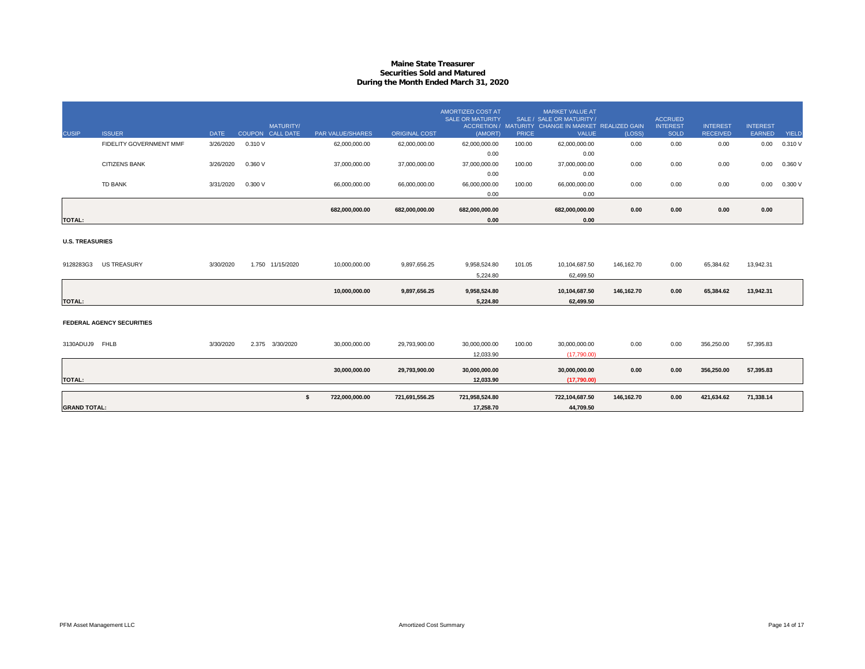## **Maine State Treasurer Securities Sold and MaturedDuring the Month Ended March 31, 2020**

|                        |                                  |             | <b>MATURITY/</b>   |                      |                      | AMORTIZED COST AT<br><b>SALE OR MATURITY</b> |              | MARKET VALUE AT<br>SALE / SALE OR MATURITY /<br>ACCRETION / MATURITY CHANGE IN MARKET REALIZED GAIN |            | <b>ACCRUED</b><br><b>INTEREST</b> | <b>INTEREST</b> | <b>INTEREST</b> |              |
|------------------------|----------------------------------|-------------|--------------------|----------------------|----------------------|----------------------------------------------|--------------|-----------------------------------------------------------------------------------------------------|------------|-----------------------------------|-----------------|-----------------|--------------|
| <b>CUSIP</b>           | <b>ISSUER</b>                    | <b>DATE</b> | COUPON CALL DATE   | PAR VALUE/SHARES     | <b>ORIGINAL COST</b> | (AMORT)                                      | <b>PRICE</b> | <b>VALUE</b>                                                                                        | (LOSS)     | <b>SOLD</b>                       | <b>RECEIVED</b> | EARNED          | <b>YIELD</b> |
|                        | FIDELITY GOVERNMENT MMF          | 3/26/2020   | 0.310 V            | 62,000,000.00        | 62,000,000.00        | 62,000,000.00                                | 100.00       | 62,000,000.00                                                                                       | 0.00       | 0.00                              | 0.00            | 0.00            | 0.310 V      |
|                        |                                  |             |                    |                      |                      | 0.00                                         |              | 0.00                                                                                                |            |                                   |                 |                 |              |
|                        | <b>CITIZENS BANK</b>             | 3/26/2020   | 0.360 V            | 37,000,000.00        | 37,000,000.00        | 37,000,000.00                                | 100.00       | 37,000,000.00                                                                                       | 0.00       | 0.00                              | 0.00            | 0.00            | 0.360V       |
|                        |                                  |             |                    |                      |                      | 0.00                                         |              | 0.00                                                                                                |            |                                   |                 |                 |              |
|                        | TD BANK                          | 3/31/2020   | 0.300V             | 66,000,000.00        | 66,000,000.00        | 66,000,000.00                                | 100.00       | 66,000,000.00                                                                                       | 0.00       | 0.00                              | 0.00            | 0.00            | 0.300V       |
|                        |                                  |             |                    |                      |                      | 0.00                                         |              | 0.00                                                                                                |            |                                   |                 |                 |              |
|                        |                                  |             |                    | 682,000,000.00       | 682,000,000.00       | 682,000,000.00                               |              | 682,000,000.00                                                                                      | 0.00       | 0.00                              | 0.00            | 0.00            |              |
| <b>TOTAL:</b>          |                                  |             |                    |                      |                      | 0.00                                         |              | 0.00                                                                                                |            |                                   |                 |                 |              |
| <b>U.S. TREASURIES</b> |                                  |             |                    |                      |                      |                                              |              |                                                                                                     |            |                                   |                 |                 |              |
| 9128283G3              | <b>US TREASURY</b>               | 3/30/2020   | 1.750 11/15/2020   | 10,000,000.00        | 9,897,656.25         | 9,958,524.80                                 | 101.05       | 10,104,687.50                                                                                       | 146.162.70 | 0.00                              | 65.384.62       | 13.942.31       |              |
|                        |                                  |             |                    |                      |                      | 5,224.80                                     |              | 62,499.50                                                                                           |            |                                   |                 |                 |              |
|                        |                                  |             |                    | 10,000,000.00        | 9,897,656.25         | 9,958,524.80                                 |              | 10,104,687.50                                                                                       | 146,162.70 | 0.00                              | 65,384.62       | 13,942.31       |              |
| <b>TOTAL:</b>          |                                  |             |                    |                      |                      | 5.224.80                                     |              | 62.499.50                                                                                           |            |                                   |                 |                 |              |
|                        | <b>FEDERAL AGENCY SECURITIES</b> |             |                    |                      |                      |                                              |              |                                                                                                     |            |                                   |                 |                 |              |
| 3130ADUJ9 FHLB         |                                  | 3/30/2020   | 2.375<br>3/30/2020 | 30,000,000.00        | 29,793,900.00        | 30,000,000.00<br>12,033.90                   | 100.00       | 30,000,000.00<br>(17.790.00)                                                                        | 0.00       | 0.00                              | 356,250.00      | 57,395.83       |              |
| <b>TOTAL:</b>          |                                  |             |                    | 30,000,000.00        | 29,793,900.00        | 30,000,000.00<br>12,033.90                   |              | 30,000,000.00<br>(17,790.00)                                                                        | 0.00       | 0.00                              | 356,250.00      | 57,395.83       |              |
| <b>GRAND TOTAL:</b>    |                                  |             |                    | s.<br>722.000.000.00 | 721,691,556.25       | 721,958,524.80<br>17.258.70                  |              | 722,104,687.50<br>44.709.50                                                                         | 146.162.70 | 0.00                              | 421.634.62      | 71,338.14       |              |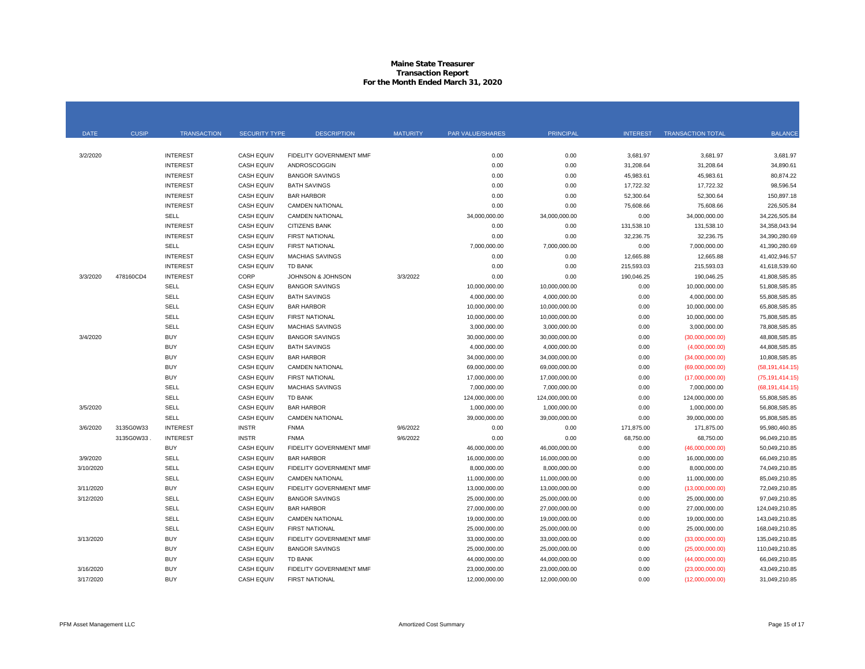#### **Maine State Treasurer Transaction Report For the Month Ended March 31, 2020**

| <b>DATE</b> | <b>CUSIP</b> | <b>TRANSACTION</b> | <b>SECURITY TYPE</b> | <b>DESCRIPTION</b>      | <b>MATURITY</b> | PAR VALUE/SHARES | <b>PRINCIPAL</b> | <b>INTEREST</b> | <b>TRANSACTION TOTAL</b> | <b>BALANCE</b>    |
|-------------|--------------|--------------------|----------------------|-------------------------|-----------------|------------------|------------------|-----------------|--------------------------|-------------------|
|             |              |                    |                      |                         |                 |                  |                  |                 |                          |                   |
| 3/2/2020    |              | <b>INTEREST</b>    | <b>CASH EQUIV</b>    | FIDELITY GOVERNMENT MMF |                 | 0.00             | 0.00             | 3,681.97        | 3,681.97                 | 3,681.97          |
|             |              | <b>INTEREST</b>    | <b>CASH EQUIV</b>    | ANDROSCOGGIN            |                 | 0.00             | 0.00             | 31,208.64       | 31,208.64                | 34,890.61         |
|             |              | <b>INTEREST</b>    | <b>CASH EQUIV</b>    | <b>BANGOR SAVINGS</b>   |                 | 0.00             | 0.00             | 45,983.61       | 45,983.61                | 80,874.22         |
|             |              | <b>INTEREST</b>    | <b>CASH EQUIV</b>    | <b>BATH SAVINGS</b>     |                 | 0.00             | 0.00             | 17,722.32       | 17,722.32                | 98,596.54         |
|             |              | <b>INTEREST</b>    | <b>CASH EQUIV</b>    | <b>BAR HARBOR</b>       |                 | 0.00             | 0.00             | 52,300.64       | 52,300.64                | 150,897.18        |
|             |              | <b>INTEREST</b>    | <b>CASH EQUIV</b>    | <b>CAMDEN NATIONAL</b>  |                 | 0.00             | 0.00             | 75,608.66       | 75,608.66                | 226,505.84        |
|             |              | <b>SELL</b>        | <b>CASH EQUIV</b>    | <b>CAMDEN NATIONAL</b>  |                 | 34,000,000.00    | 34,000,000.00    | 0.00            | 34,000,000.00            | 34,226,505.84     |
|             |              | <b>INTEREST</b>    | <b>CASH EQUIV</b>    | CITIZENS BANK           |                 | 0.00             | 0.00             | 131,538.10      | 131,538.10               | 34,358,043.94     |
|             |              | <b>INTEREST</b>    | <b>CASH EQUIV</b>    | <b>FIRST NATIONAL</b>   |                 | 0.00             | 0.00             | 32,236.75       | 32,236.75                | 34,390,280.69     |
|             |              | <b>SELL</b>        | <b>CASH EQUIV</b>    | <b>FIRST NATIONAL</b>   |                 | 7,000,000.00     | 7,000,000.00     | 0.00            | 7,000,000.00             | 41,390,280.69     |
|             |              | <b>INTEREST</b>    | <b>CASH EQUIV</b>    | <b>MACHIAS SAVINGS</b>  |                 | 0.00             | 0.00             | 12,665.88       | 12,665.88                | 41,402,946.57     |
|             |              | <b>INTEREST</b>    | <b>CASH EQUIV</b>    | <b>TD BANK</b>          |                 | 0.00             | 0.00             | 215,593.03      | 215,593.03               | 41,618,539.60     |
| 3/3/2020    | 478160CD4    | <b>INTEREST</b>    | CORP                 | JOHNSON & JOHNSON       | 3/3/2022        | 0.00             | 0.00             | 190,046.25      | 190,046.25               | 41,808,585.85     |
|             |              | SELL               | <b>CASH EQUIV</b>    | <b>BANGOR SAVINGS</b>   |                 | 10,000,000.00    | 10,000,000.00    | 0.00            | 10,000,000.00            | 51,808,585.85     |
|             |              | SELL               | <b>CASH EQUIV</b>    | <b>BATH SAVINGS</b>     |                 | 4,000,000.00     | 4,000,000.00     | 0.00            | 4,000,000.00             | 55.808.585.85     |
|             |              | <b>SELL</b>        | <b>CASH EQUIV</b>    | <b>BAR HARBOR</b>       |                 | 10,000,000.00    | 10,000,000.00    | 0.00            | 10,000,000.00            | 65,808,585.85     |
|             |              | SELL               | <b>CASH EQUIV</b>    | <b>FIRST NATIONAL</b>   |                 | 10,000,000.00    | 10,000,000.00    | 0.00            | 10,000,000.00            | 75,808,585.85     |
|             |              | <b>SELL</b>        | <b>CASH EQUIV</b>    | <b>MACHIAS SAVINGS</b>  |                 | 3,000,000.00     | 3,000,000.00     | 0.00            | 3,000,000.00             | 78,808,585.85     |
| 3/4/2020    |              | <b>BUY</b>         | <b>CASH EQUIV</b>    | <b>BANGOR SAVINGS</b>   |                 | 30,000,000.00    | 30,000,000.00    | 0.00            | (30,000,000.00)          | 48,808,585.85     |
|             |              | <b>BUY</b>         | <b>CASH EQUIV</b>    | <b>BATH SAVINGS</b>     |                 | 4,000,000.00     | 4,000,000.00     | 0.00            | (4,000,000.00)           | 44,808,585.85     |
|             |              | <b>BUY</b>         | <b>CASH EQUIV</b>    | <b>BAR HARBOR</b>       |                 | 34,000,000.00    | 34,000,000.00    | 0.00            | (34,000,000.00)          | 10,808,585.85     |
|             |              | <b>BUY</b>         | <b>CASH EQUIV</b>    | <b>CAMDEN NATIONAL</b>  |                 | 69,000,000.00    | 69,000,000.00    | 0.00            | (69,000,000.00)          | (58, 191, 414.15) |
|             |              | <b>BUY</b>         | <b>CASH EQUIV</b>    | <b>FIRST NATIONAL</b>   |                 | 17,000,000.00    | 17,000,000.00    | 0.00            | (17,000,000.00)          | (75, 191, 414.15) |
|             |              | <b>SELL</b>        | <b>CASH EQUIV</b>    | <b>MACHIAS SAVINGS</b>  |                 | 7,000,000.00     | 7,000,000.00     | 0.00            | 7,000,000.00             | (68, 191, 414.15) |
|             |              | <b>SELL</b>        | <b>CASH EQUIV</b>    | <b>TD BANK</b>          |                 | 124,000,000.00   | 124,000,000.00   | 0.00            | 124,000,000.00           | 55,808,585.85     |
| 3/5/2020    |              | SELL               | <b>CASH EQUIV</b>    | <b>BAR HARBOR</b>       |                 | 1,000,000.00     | 1,000,000.00     | 0.00            | 1,000,000.00             | 56,808,585.85     |
|             |              | <b>SELL</b>        | <b>CASH EQUIV</b>    | <b>CAMDEN NATIONAL</b>  |                 | 39,000,000.00    | 39,000,000.00    | 0.00            | 39,000,000.00            | 95,808,585.85     |
| 3/6/2020    | 3135G0W33    | <b>INTEREST</b>    | <b>INSTR</b>         | <b>FNMA</b>             | 9/6/2022        | 0.00             | 0.00             | 171,875.00      | 171,875.00               | 95.980.460.85     |
|             | 3135G0W33    | <b>INTEREST</b>    | <b>INSTR</b>         | <b>FNMA</b>             | 9/6/2022        | 0.00             | 0.00             | 68,750.00       | 68,750.00                | 96,049,210.85     |
|             |              | <b>BUY</b>         | <b>CASH EQUIV</b>    | FIDELITY GOVERNMENT MMF |                 | 46,000,000.00    | 46,000,000.00    | 0.00            | (46,000,000.00)          | 50.049.210.85     |
| 3/9/2020    |              | <b>SELL</b>        | <b>CASH EQUIV</b>    | <b>BAR HARBOR</b>       |                 | 16,000,000.00    | 16,000,000.00    | 0.00            | 16,000,000.00            | 66,049,210.85     |
| 3/10/2020   |              | SELL               | <b>CASH EQUIV</b>    | FIDELITY GOVERNMENT MMF |                 | 8,000,000.00     | 8,000,000.00     | 0.00            | 8,000,000.00             | 74,049,210.85     |
|             |              | <b>SELL</b>        | <b>CASH EQUIV</b>    | <b>CAMDEN NATIONAL</b>  |                 | 11,000,000.00    | 11,000,000.00    | 0.00            | 11,000,000.00            | 85,049,210.85     |
| 3/11/2020   |              | <b>BUY</b>         | <b>CASH EQUIV</b>    | FIDELITY GOVERNMENT MMF |                 | 13,000,000.00    | 13,000,000.00    | 0.00            | (13,000,000.00)          | 72,049,210.85     |
| 3/12/2020   |              | <b>SELL</b>        | <b>CASH EQUIV</b>    | <b>BANGOR SAVINGS</b>   |                 | 25,000,000.00    | 25,000,000.00    | 0.00            | 25,000,000.00            | 97,049,210.85     |
|             |              | <b>SELL</b>        | <b>CASH EQUIV</b>    | <b>BAR HARBOR</b>       |                 | 27,000,000.00    | 27,000,000.00    | 0.00            | 27,000,000.00            | 124,049,210.85    |
|             |              | SELL               | <b>CASH EQUIV</b>    | <b>CAMDEN NATIONAL</b>  |                 | 19,000,000.00    | 19,000,000.00    | 0.00            | 19,000,000.00            | 143,049,210.85    |
|             |              | SELL               | <b>CASH EQUIV</b>    | <b>FIRST NATIONAL</b>   |                 | 25,000,000.00    | 25,000,000.00    | 0.00            | 25,000,000.00            | 168,049,210.85    |
| 3/13/2020   |              | <b>BUY</b>         | <b>CASH EQUIV</b>    | FIDELITY GOVERNMENT MMF |                 | 33,000,000.00    | 33,000,000.00    | 0.00            | (33,000,000.00)          | 135,049,210.85    |
|             |              | <b>BUY</b>         | <b>CASH EQUIV</b>    | <b>BANGOR SAVINGS</b>   |                 | 25,000,000.00    | 25,000,000.00    | 0.00            | (25,000,000.00)          | 110,049,210.85    |
|             |              | <b>BUY</b>         | <b>CASH EQUIV</b>    | <b>TD BANK</b>          |                 | 44,000,000.00    | 44,000,000.00    | 0.00            | (44,000,000.00)          | 66.049.210.85     |
| 3/16/2020   |              | <b>BUY</b>         | <b>CASH EQUIV</b>    | FIDELITY GOVERNMENT MMF |                 | 23,000,000.00    | 23,000,000.00    | 0.00            | (23,000,000.00)          | 43,049,210.85     |
| 3/17/2020   |              | <b>BUY</b>         | <b>CASH EQUIV</b>    | FIRST NATIONAL          |                 | 12,000,000.00    | 12,000,000.00    | 0.00            | (12,000,000.00)          | 31,049,210.85     |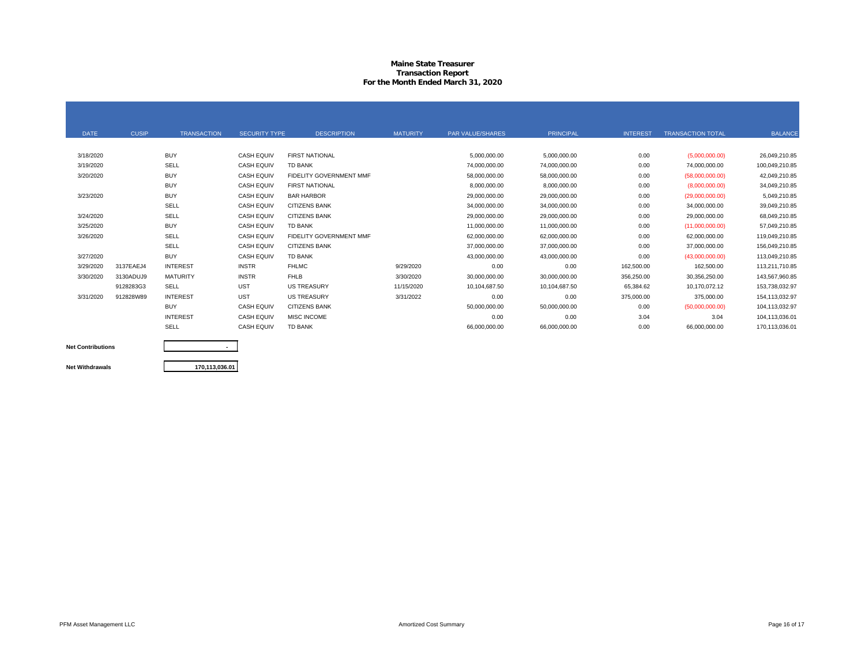#### **Maine State Treasurer Transaction Report For the Month Ended March 31, 2020**

| <b>DATE</b> | <b>CUSIP</b> | <b>TRANSACTION</b> | <b>SECURITY TYPE</b> | <b>DESCRIPTION</b>             | <b>MATURITY</b> | PAR VALUE/SHARES | PRINCIPAL     | <b>INTEREST</b> | <b>TRANSACTION TOTAL</b> | <b>BALANCE</b> |
|-------------|--------------|--------------------|----------------------|--------------------------------|-----------------|------------------|---------------|-----------------|--------------------------|----------------|
|             |              |                    |                      |                                |                 |                  |               |                 |                          |                |
| 3/18/2020   |              | <b>BUY</b>         | <b>CASH EQUIV</b>    | <b>FIRST NATIONAL</b>          |                 | 5,000,000.00     | 5,000,000.00  | 0.00            | (5,000,000.00)           | 26,049,210.85  |
| 3/19/2020   |              | SELL               | <b>CASH EQUIV</b>    | <b>TD BANK</b>                 |                 | 74,000,000.00    | 74,000,000.00 | 0.00            | 74,000,000.00            | 100,049,210.85 |
| 3/20/2020   |              | <b>BUY</b>         | <b>CASH EQUIV</b>    | <b>FIDELITY GOVERNMENT MMF</b> |                 | 58,000,000.00    | 58,000,000.00 | 0.00            | (58,000,000.00)          | 42,049,210.85  |
|             |              | <b>BUY</b>         | <b>CASH EQUIV</b>    | <b>FIRST NATIONAL</b>          |                 | 8,000,000.00     | 8,000,000.00  | 0.00            | (8,000,000.00)           | 34,049,210.85  |
| 3/23/2020   |              | <b>BUY</b>         | <b>CASH EQUIV</b>    | <b>BAR HARBOR</b>              |                 | 29,000,000.00    | 29,000,000.00 | 0.00            | (29,000,000.00)          | 5,049,210.85   |
|             |              | SELL               | <b>CASH EQUIV</b>    | <b>CITIZENS BANK</b>           |                 | 34,000,000.00    | 34,000,000.00 | 0.00            | 34,000,000.00            | 39,049,210.85  |
| 3/24/2020   |              | SELL               | <b>CASH EQUIV</b>    | <b>CITIZENS BANK</b>           |                 | 29,000,000.00    | 29,000,000.00 | 0.00            | 29,000,000.00            | 68,049,210.85  |
| 3/25/2020   |              | <b>BUY</b>         | <b>CASH EQUIV</b>    | <b>TD BANK</b>                 |                 | 11,000,000.00    | 11,000,000.00 | 0.00            | (11,000,000.00)          | 57,049,210.85  |
| 3/26/2020   |              | SELL               | <b>CASH EQUIV</b>    | <b>FIDELITY GOVERNMENT MMF</b> |                 | 62,000,000.00    | 62,000,000.00 | 0.00            | 62,000,000.00            | 119,049,210.85 |
|             |              | SELL               | <b>CASH EQUIV</b>    | <b>CITIZENS BANK</b>           |                 | 37,000,000.00    | 37,000,000.00 | 0.00            | 37,000,000.00            | 156.049.210.85 |
| 3/27/2020   |              | <b>BUY</b>         | <b>CASH EQUIV</b>    | <b>TD BANK</b>                 |                 | 43,000,000.00    | 43,000,000.00 | 0.00            | (43,000,000.00)          | 113,049,210.85 |
| 3/29/2020   | 3137EAEJ4    | <b>INTEREST</b>    | <b>INSTR</b>         | <b>FHLMC</b>                   | 9/29/2020       | 0.00             | 0.00          | 162,500.00      | 162,500.00               | 113,211,710.85 |
| 3/30/2020   | 3130ADUJ9    | <b>MATURITY</b>    | <b>INSTR</b>         | <b>FHLB</b>                    | 3/30/2020       | 30,000,000.00    | 30,000,000.00 | 356,250.00      | 30,356,250.00            | 143,567,960.85 |
|             | 9128283G3    | SELL               | <b>UST</b>           | <b>US TREASURY</b>             | 11/15/2020      | 10,104,687.50    | 10,104,687.50 | 65.384.62       | 10,170,072.12            | 153,738,032.97 |
| 3/31/2020   | 912828W89    | <b>INTEREST</b>    | <b>UST</b>           | <b>US TREASURY</b>             | 3/31/2022       | 0.00             | 0.00          | 375,000.00      | 375,000.00               | 154,113,032.97 |
|             |              | <b>BUY</b>         | <b>CASH EQUIV</b>    | <b>CITIZENS BANK</b>           |                 | 50,000,000.00    | 50,000,000.00 | 0.00            | (50,000,000.00)          | 104,113,032.97 |
|             |              | <b>INTEREST</b>    | <b>CASH EQUIV</b>    | <b>MISC INCOME</b>             |                 | 0.00             | 0.00          | 3.04            | 3.04                     | 104,113,036.01 |
|             |              | SELL               | <b>CASH EQUIV</b>    | <b>TD BANK</b>                 |                 | 66,000,000.00    | 66,000,000.00 | 0.00            | 66,000,000.00            | 170,113,036.01 |
|             |              |                    |                      |                                |                 |                  |               |                 |                          |                |

**Net Contributions**

**Net Withdrawals**

**170,113,036.01**

**-**